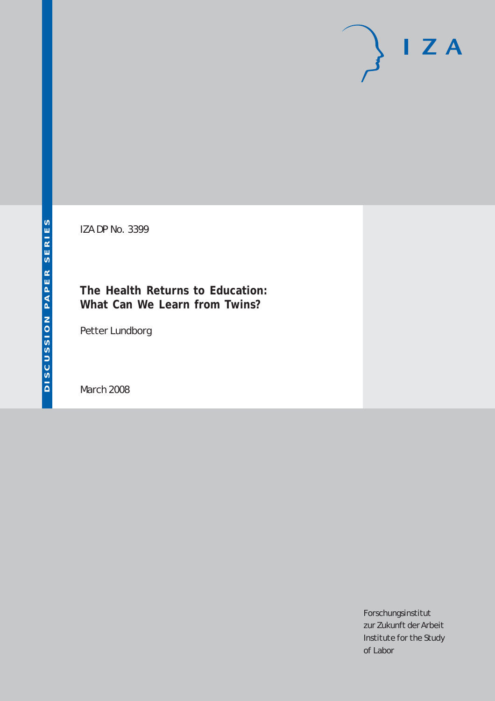# $I Z A$

IZA DP No. 3399

## **The Health Returns to Education: What Can We Learn from Twins?**

Petter Lundborg

March 2008

Forschungsinstitut zur Zukunft der Arbeit Institute for the Study of Labor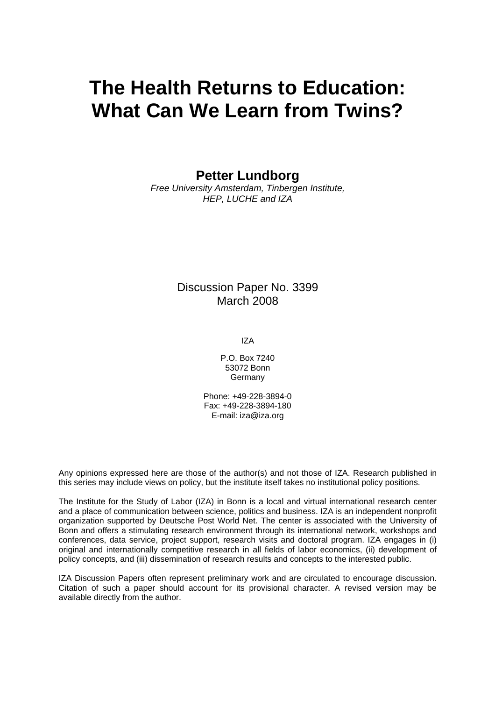# **The Health Returns to Education: What Can We Learn from Twins?**

**Petter Lundborg** 

*Free University Amsterdam, Tinbergen Institute, HEP, LUCHE and IZA* 

> Discussion Paper No. 3399 March 2008

> > IZA

P.O. Box 7240 53072 Bonn Germany

Phone: +49-228-3894-0 Fax: +49-228-3894-180 E-mail: [iza@iza.org](mailto:iza@iza.org)

Any opinions expressed here are those of the author(s) and not those of IZA. Research published in this series may include views on policy, but the institute itself takes no institutional policy positions.

The Institute for the Study of Labor (IZA) in Bonn is a local and virtual international research center and a place of communication between science, politics and business. IZA is an independent nonprofit organization supported by Deutsche Post World Net. The center is associated with the University of Bonn and offers a stimulating research environment through its international network, workshops and conferences, data service, project support, research visits and doctoral program. IZA engages in (i) original and internationally competitive research in all fields of labor economics, (ii) development of policy concepts, and (iii) dissemination of research results and concepts to the interested public.

IZA Discussion Papers often represent preliminary work and are circulated to encourage discussion. Citation of such a paper should account for its provisional character. A revised version may be available directly from the author.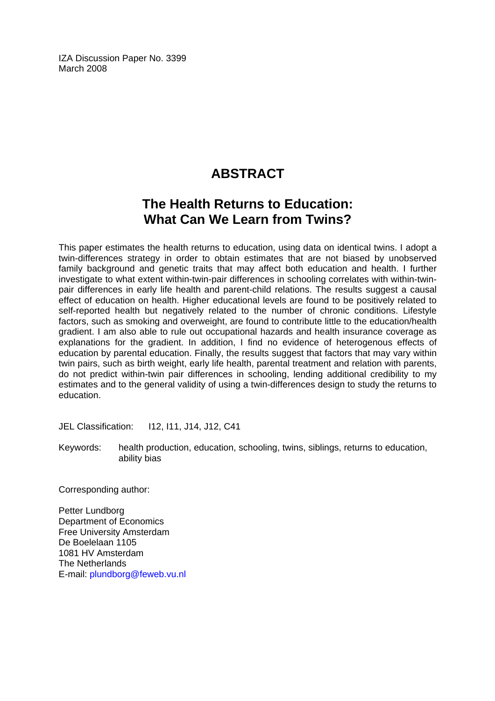IZA Discussion Paper No. 3399 March 2008

# **ABSTRACT**

## **The Health Returns to Education: What Can We Learn from Twins?**

This paper estimates the health returns to education, using data on identical twins. I adopt a twin-differences strategy in order to obtain estimates that are not biased by unobserved family background and genetic traits that may affect both education and health. I further investigate to what extent within-twin-pair differences in schooling correlates with within-twinpair differences in early life health and parent-child relations. The results suggest a causal effect of education on health. Higher educational levels are found to be positively related to self-reported health but negatively related to the number of chronic conditions. Lifestyle factors, such as smoking and overweight, are found to contribute little to the education/health gradient. I am also able to rule out occupational hazards and health insurance coverage as explanations for the gradient. In addition, I find no evidence of heterogenous effects of education by parental education. Finally, the results suggest that factors that may vary within twin pairs, such as birth weight, early life health, parental treatment and relation with parents, do not predict within-twin pair differences in schooling, lending additional credibility to my estimates and to the general validity of using a twin-differences design to study the returns to education.

JEL Classification: I12, I11, J14, J12, C41

Keywords: health production, education, schooling, twins, siblings, returns to education, ability bias

Corresponding author:

Petter Lundborg Department of Economics Free University Amsterdam De Boelelaan 1105 1081 HV Amsterdam The Netherlands E-mail: [plundborg@feweb.vu.nl](mailto:plundborg@feweb.vu.nl)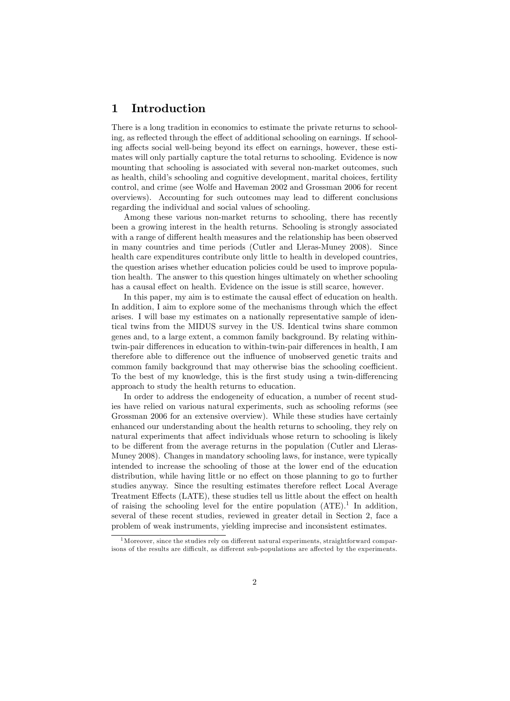#### 1 Introduction

There is a long tradition in economics to estimate the private returns to schooling, as reflected through the effect of additional schooling on earnings. If schooling affects social well-being beyond its effect on earnings, however, these estimates will only partially capture the total returns to schooling. Evidence is now mounting that schooling is associated with several non-market outcomes, such as health, child's schooling and cognitive development, marital choices, fertility control, and crime (see Wolfe and Haveman 2002 and Grossman 2006 for recent overviews). Accounting for such outcomes may lead to different conclusions regarding the individual and social values of schooling.

Among these various non-market returns to schooling, there has recently been a growing interest in the health returns. Schooling is strongly associated with a range of different health measures and the relationship has been observed in many countries and time periods (Cutler and Lleras-Muney 2008). Since health care expenditures contribute only little to health in developed countries, the question arises whether education policies could be used to improve population health. The answer to this question hinges ultimately on whether schooling has a causal effect on health. Evidence on the issue is still scarce, however.

In this paper, my aim is to estimate the causal effect of education on health. In addition, I aim to explore some of the mechanisms through which the effect arises. I will base my estimates on a nationally representative sample of identical twins from the MIDUS survey in the US. Identical twins share common genes and, to a large extent, a common family background. By relating withintwin-pair differences in education to within-twin-pair differences in health, I am therefore able to difference out the influence of unobserved genetic traits and common family background that may otherwise bias the schooling coefficient. To the best of my knowledge, this is the first study using a twin-differencing approach to study the health returns to education.

In order to address the endogeneity of education, a number of recent studies have relied on various natural experiments, such as schooling reforms (see Grossman 2006 for an extensive overview). While these studies have certainly enhanced our understanding about the health returns to schooling, they rely on natural experiments that affect individuals whose return to schooling is likely to be different from the average returns in the population (Cutler and Lleras-Muney 2008). Changes in mandatory schooling laws, for instance, were typically intended to increase the schooling of those at the lower end of the education distribution, while having little or no effect on those planning to go to further studies anyway. Since the resulting estimates therefore reflect Local Average Treatment Effects (LATE), these studies tell us little about the effect on health of raising the schooling level for the entire population  $(ATE)$ .<sup>1</sup> In addition, several of these recent studies, reviewed in greater detail in Section 2, face a problem of weak instruments, yielding imprecise and inconsistent estimates.

 $1$ Moreover, since the studies rely on different natural experiments, straightforward comparisons of the results are difficult, as different sub-populations are affected by the experiments.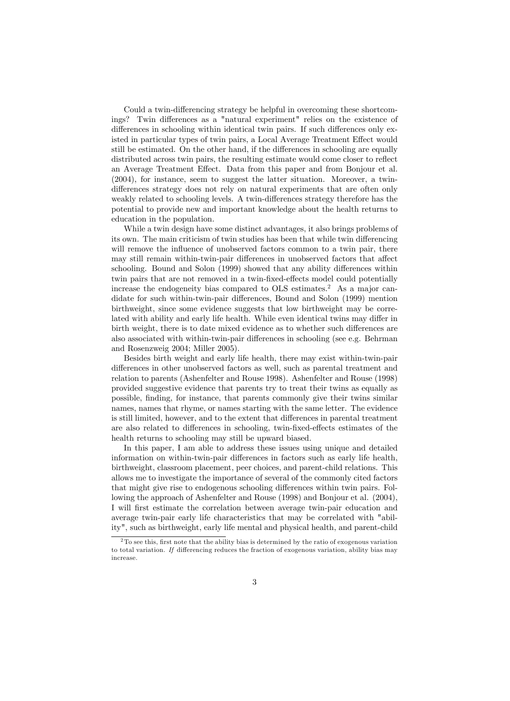Could a twin-differencing strategy be helpful in overcoming these shortcomings? Twin differences as a "natural experiment" relies on the existence of differences in schooling within identical twin pairs. If such differences only existed in particular types of twin pairs, a Local Average Treatment Effect would still be estimated. On the other hand, if the differences in schooling are equally distributed across twin pairs, the resulting estimate would come closer to reflect an Average Treatment Effect. Data from this paper and from Bonjour et al. (2004), for instance, seem to suggest the latter situation. Moreover, a twindifferences strategy does not rely on natural experiments that are often only weakly related to schooling levels. A twin-differences strategy therefore has the potential to provide new and important knowledge about the health returns to education in the population.

While a twin design have some distinct advantages, it also brings problems of its own. The main criticism of twin studies has been that while twin differencing will remove the influence of unobserved factors common to a twin pair, there may still remain within-twin-pair differences in unobserved factors that affect schooling. Bound and Solon (1999) showed that any ability differences within twin pairs that are not removed in a twin-fixed-effects model could potentially increase the endogeneity bias compared to  $OLS$  estimates.<sup>2</sup> As a major candidate for such within-twin-pair differences, Bound and Solon (1999) mention birthweight, since some evidence suggests that low birthweight may be correlated with ability and early life health. While even identical twins may differ in birth weight, there is to date mixed evidence as to whether such differences are also associated with within-twin-pair differences in schooling (see e.g. Behrman and Rosenzweig 2004; Miller 2005).

Besides birth weight and early life health, there may exist within-twin-pair differences in other unobserved factors as well, such as parental treatment and relation to parents (Ashenfelter and Rouse 1998). Ashenfelter and Rouse (1998) provided suggestive evidence that parents try to treat their twins as equally as possible, finding, for instance, that parents commonly give their twins similar names, names that rhyme, or names starting with the same letter. The evidence is still limited, however, and to the extent that differences in parental treatment are also related to differences in schooling, twin-fixed-effects estimates of the health returns to schooling may still be upward biased.

In this paper, I am able to address these issues using unique and detailed information on within-twin-pair differences in factors such as early life health, birthweight, classroom placement, peer choices, and parent-child relations. This allows me to investigate the importance of several of the commonly cited factors that might give rise to endogenous schooling differences within twin pairs. Following the approach of Ashenfelter and Rouse (1998) and Bonjour et al. (2004), I will Örst estimate the correlation between average twin-pair education and average twin-pair early life characteristics that may be correlated with "ability", such as birthweight, early life mental and physical health, and parent-child

 $2$ To see this, first note that the ability bias is determined by the ratio of exogenous variation to total variation. If differencing reduces the fraction of exogenous variation, ability bias may increase.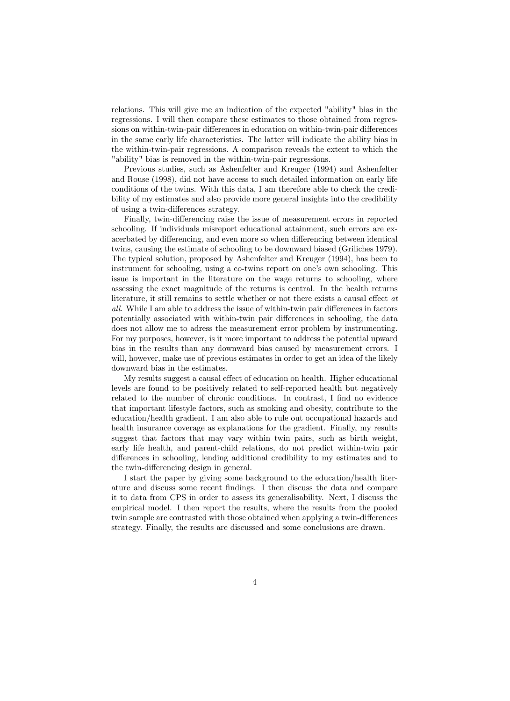relations. This will give me an indication of the expected "ability" bias in the regressions. I will then compare these estimates to those obtained from regressions on within-twin-pair differences in education on within-twin-pair differences in the same early life characteristics. The latter will indicate the ability bias in the within-twin-pair regressions. A comparison reveals the extent to which the "ability" bias is removed in the within-twin-pair regressions.

Previous studies, such as Ashenfelter and Kreuger (1994) and Ashenfelter and Rouse (1998), did not have access to such detailed information on early life conditions of the twins. With this data, I am therefore able to check the credibility of my estimates and also provide more general insights into the credibility of using a twin-differences strategy.

Finally, twin-differencing raise the issue of measurement errors in reported schooling. If individuals misreport educational attainment, such errors are exacerbated by differencing, and even more so when differencing between identical twins, causing the estimate of schooling to be downward biased (Griliches 1979). The typical solution, proposed by Ashenfelter and Kreuger (1994), has been to instrument for schooling, using a co-twins report on one's own schooling. This issue is important in the literature on the wage returns to schooling, where assessing the exact magnitude of the returns is central. In the health returns literature, it still remains to settle whether or not there exists a causal effect  $at$  $all.$  While I am able to address the issue of within-twin pair differences in factors potentially associated with within-twin pair differences in schooling, the data does not allow me to adress the measurement error problem by instrumenting. For my purposes, however, is it more important to address the potential upward bias in the results than any downward bias caused by measurement errors. I will, however, make use of previous estimates in order to get an idea of the likely downward bias in the estimates.

My results suggest a causal effect of education on health. Higher educational levels are found to be positively related to self-reported health but negatively related to the number of chronic conditions. In contrast, I find no evidence that important lifestyle factors, such as smoking and obesity, contribute to the education/health gradient. I am also able to rule out occupational hazards and health insurance coverage as explanations for the gradient. Finally, my results suggest that factors that may vary within twin pairs, such as birth weight, early life health, and parent-child relations, do not predict within-twin pair differences in schooling, lending additional credibility to my estimates and to the twin-differencing design in general.

I start the paper by giving some background to the education/health literature and discuss some recent Öndings. I then discuss the data and compare it to data from CPS in order to assess its generalisability. Next, I discuss the empirical model. I then report the results, where the results from the pooled twin sample are contrasted with those obtained when applying a twin-differences strategy. Finally, the results are discussed and some conclusions are drawn.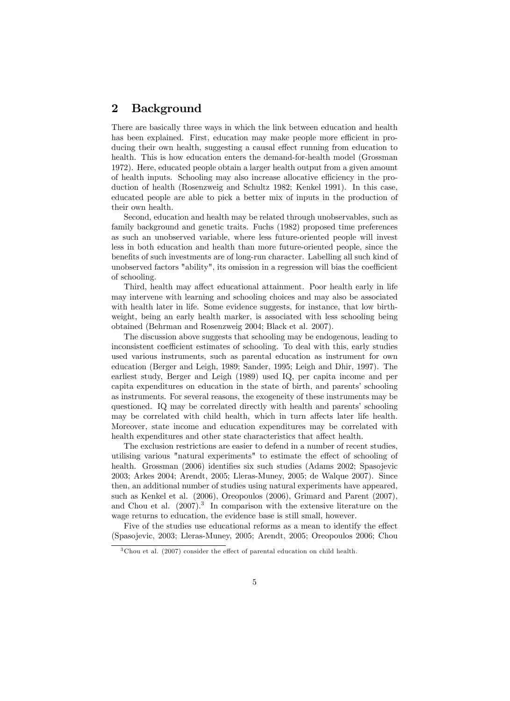#### 2 Background

There are basically three ways in which the link between education and health has been explained. First, education may make people more efficient in producing their own health, suggesting a causal effect running from education to health. This is how education enters the demand-for-health model (Grossman 1972). Here, educated people obtain a larger health output from a given amount of health inputs. Schooling may also increase allocative efficiency in the production of health (Rosenzweig and Schultz 1982; Kenkel 1991). In this case, educated people are able to pick a better mix of inputs in the production of their own health.

Second, education and health may be related through unobservables, such as family background and genetic traits. Fuchs (1982) proposed time preferences as such an unobserved variable, where less future-oriented people will invest less in both education and health than more future-oriented people, since the benefits of such investments are of long-run character. Labelling all such kind of unobserved factors "ability", its omission in a regression will bias the coefficient of schooling.

Third, health may affect educational attainment. Poor health early in life may intervene with learning and schooling choices and may also be associated with health later in life. Some evidence suggests, for instance, that low birthweight, being an early health marker, is associated with less schooling being obtained (Behrman and Rosenzweig 2004; Black et al. 2007).

The discussion above suggests that schooling may be endogenous, leading to inconsistent coefficient estimates of schooling. To deal with this, early studies used various instruments, such as parental education as instrument for own education (Berger and Leigh, 1989; Sander, 1995; Leigh and Dhir, 1997). The earliest study, Berger and Leigh (1989) used IQ, per capita income and per capita expenditures on education in the state of birth, and parents' schooling as instruments. For several reasons, the exogeneity of these instruments may be questioned. IQ may be correlated directly with health and parents' schooling may be correlated with child health, which in turn affects later life health. Moreover, state income and education expenditures may be correlated with health expenditures and other state characteristics that affect health.

The exclusion restrictions are easier to defend in a number of recent studies, utilising various "natural experiments" to estimate the effect of schooling of health. Grossman (2006) identifies six such studies (Adams 2002; Spasojevic 2003; Arkes 2004; Arendt, 2005; Lleras-Muney, 2005; de Walque 2007). Since then, an additional number of studies using natural experiments have appeared, such as Kenkel et al. (2006), Oreopoulos (2006), Grimard and Parent (2007), and Chou et al.  $(2007).<sup>3</sup>$  In comparison with the extensive literature on the wage returns to education, the evidence base is still small, however.

Five of the studies use educational reforms as a mean to identify the effect (Spasojevic, 2003; Lleras-Muney, 2005; Arendt, 2005; Oreopoulos 2006; Chou

 $3$  Chou et al. (2007) consider the effect of parental education on child health.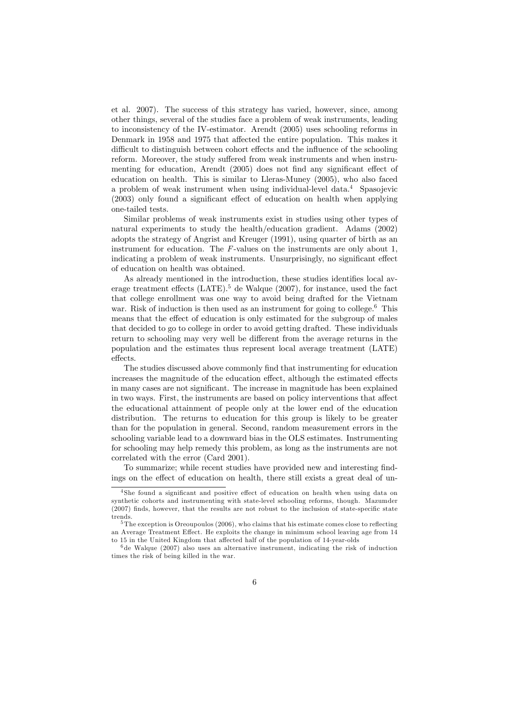et al. 2007). The success of this strategy has varied, however, since, among other things, several of the studies face a problem of weak instruments, leading to inconsistency of the IV-estimator. Arendt (2005) uses schooling reforms in Denmark in 1958 and 1975 that affected the entire population. This makes it difficult to distinguish between cohort effects and the influence of the schooling reform. Moreover, the study suffered from weak instruments and when instrumenting for education, Arendt  $(2005)$  does not find any significant effect of education on health. This is similar to Lleras-Muney (2005), who also faced a problem of weak instrument when using individual-level data.<sup>4</sup> Spasojevic  $(2003)$  only found a significant effect of education on health when applying one-tailed tests.

Similar problems of weak instruments exist in studies using other types of natural experiments to study the health/education gradient. Adams (2002) adopts the strategy of Angrist and Kreuger (1991), using quarter of birth as an instrument for education. The  $F$ -values on the instruments are only about 1, indicating a problem of weak instruments. Unsurprisingly, no significant effect of education on health was obtained.

As already mentioned in the introduction, these studies identifies local average treatment effects  $(LATE)$ .<sup>5</sup> de Walque (2007), for instance, used the fact that college enrollment was one way to avoid being drafted for the Vietnam war. Risk of induction is then used as an instrument for going to college.<sup>6</sup> This means that the effect of education is only estimated for the subgroup of males that decided to go to college in order to avoid getting drafted. These individuals return to schooling may very well be different from the average returns in the population and the estimates thus represent local average treatment (LATE) effects.

The studies discussed above commonly find that instrumenting for education increases the magnitude of the education effect, although the estimated effects in many cases are not significant. The increase in magnitude has been explained in two ways. First, the instruments are based on policy interventions that affect the educational attainment of people only at the lower end of the education distribution. The returns to education for this group is likely to be greater than for the population in general. Second, random measurement errors in the schooling variable lead to a downward bias in the OLS estimates. Instrumenting for schooling may help remedy this problem, as long as the instruments are not correlated with the error (Card 2001).

To summarize; while recent studies have provided new and interesting findings on the effect of education on health, there still exists a great deal of un-

<sup>&</sup>lt;sup>4</sup>She found a significant and positive effect of education on health when using data on synthetic cohorts and instrumenting with state-level schooling reforms, though. Mazumder  $(2007)$  finds, however, that the results are not robust to the inclusion of state-specific state trends.

<sup>&</sup>lt;sup>5</sup> The exception is Oreoupoulos (2006), who claims that his estimate comes close to reflecting an Average Treatment Effect. He exploits the change in minimum school leaving age from 14 to 15 in the United Kingdom that affected half of the population of 14-year-olds

 $6$ de Walque (2007) also uses an alternative instrument, indicating the risk of induction times the risk of being killed in the war.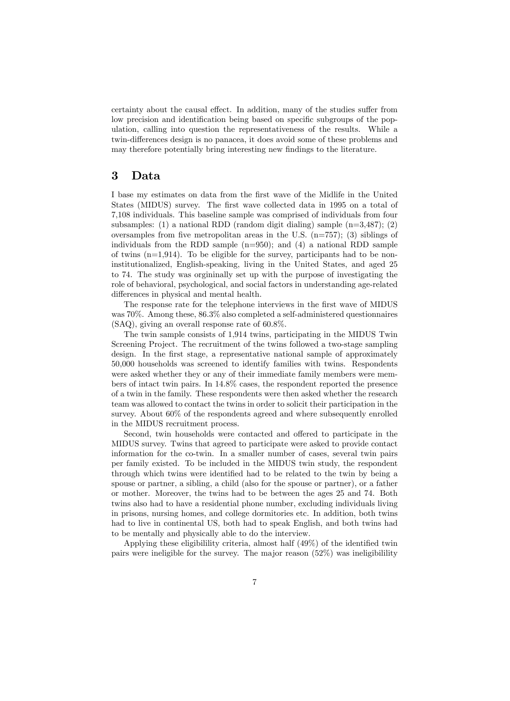certainty about the causal effect. In addition, many of the studies suffer from low precision and identification being based on specific subgroups of the population, calling into question the representativeness of the results. While a twin-differences design is no panacea, it does avoid some of these problems and may therefore potentially bring interesting new findings to the literature.

#### 3 Data

I base my estimates on data from the Örst wave of the Midlife in the United States (MIDUS) survey. The first wave collected data in 1995 on a total of 7,108 individuals. This baseline sample was comprised of individuals from four subsamples: (1) a national RDD (random digit dialing) sample  $(n=3,487)$ ; (2) oversamples from five metropolitan areas in the U.S.  $(n=757)$ ; (3) siblings of individuals from the RDD sample  $(n=950)$ ; and  $(4)$  a national RDD sample of twins  $(n=1,914)$ . To be eligible for the survey, participants had to be noninstitutionalized, English-speaking, living in the United States, and aged 25 to 74. The study was orgininally set up with the purpose of investigating the role of behavioral, psychological, and social factors in understanding age-related differences in physical and mental health.

The response rate for the telephone interviews in the first wave of MIDUS was 70%. Among these, 86.3% also completed a self-administered questionnaires (SAQ), giving an overall response rate of 60.8%.

The twin sample consists of 1,914 twins, participating in the MIDUS Twin Screening Project. The recruitment of the twins followed a two-stage sampling design. In the first stage, a representative national sample of approximately 50,000 households was screened to identify families with twins. Respondents were asked whether they or any of their immediate family members were members of intact twin pairs. In 14.8% cases, the respondent reported the presence of a twin in the family. These respondents were then asked whether the research team was allowed to contact the twins in order to solicit their participation in the survey. About 60% of the respondents agreed and where subsequently enrolled in the MIDUS recruitment process.

Second, twin households were contacted and offered to participate in the MIDUS survey. Twins that agreed to participate were asked to provide contact information for the co-twin. In a smaller number of cases, several twin pairs per family existed. To be included in the MIDUS twin study, the respondent through which twins were identified had to be related to the twin by being a spouse or partner, a sibling, a child (also for the spouse or partner), or a father or mother. Moreover, the twins had to be between the ages 25 and 74. Both twins also had to have a residential phone number, excluding individuals living in prisons, nursing homes, and college dormitories etc. In addition, both twins had to live in continental US, both had to speak English, and both twins had to be mentally and physically able to do the interview.

Applying these eligibilility criteria, almost half  $(49\%)$  of the identified twin pairs were ineligible for the survey. The major reason (52%) was ineligibilility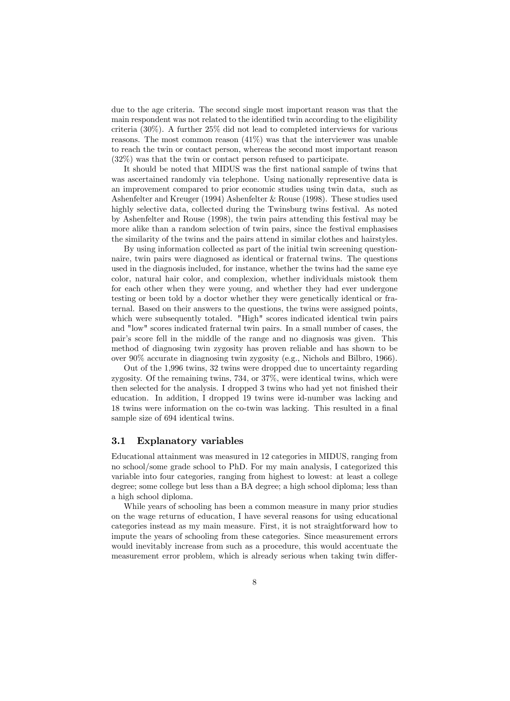due to the age criteria. The second single most important reason was that the main respondent was not related to the identified twin according to the eligibility criteria (30%). A further 25% did not lead to completed interviews for various reasons. The most common reason (41%) was that the interviewer was unable to reach the twin or contact person, whereas the second most important reason (32%) was that the twin or contact person refused to participate.

It should be noted that MIDUS was the first national sample of twins that was ascertained randomly via telephone. Using nationally representive data is an improvement compared to prior economic studies using twin data, such as Ashenfelter and Kreuger (1994) Ashenfelter & Rouse (1998). These studies used highly selective data, collected during the Twinsburg twins festival. As noted by Ashenfelter and Rouse (1998), the twin pairs attending this festival may be more alike than a random selection of twin pairs, since the festival emphasises the similarity of the twins and the pairs attend in similar clothes and hairstyles.

By using information collected as part of the initial twin screening questionnaire, twin pairs were diagnosed as identical or fraternal twins. The questions used in the diagnosis included, for instance, whether the twins had the same eye color, natural hair color, and complexion, whether individuals mistook them for each other when they were young, and whether they had ever undergone testing or been told by a doctor whether they were genetically identical or fraternal. Based on their answers to the questions, the twins were assigned points, which were subsequently totaled. "High" scores indicated identical twin pairs and "low" scores indicated fraternal twin pairs. In a small number of cases, the pairís score fell in the middle of the range and no diagnosis was given. This method of diagnosing twin zygosity has proven reliable and has shown to be over 90% accurate in diagnosing twin zygosity (e.g., Nichols and Bilbro, 1966).

Out of the 1,996 twins, 32 twins were dropped due to uncertainty regarding zygosity. Of the remaining twins, 734, or 37%, were identical twins, which were then selected for the analysis. I dropped 3 twins who had yet not finished their education. In addition, I dropped 19 twins were id-number was lacking and 18 twins were information on the co-twin was lacking. This resulted in a final sample size of 694 identical twins.

#### 3.1 Explanatory variables

Educational attainment was measured in 12 categories in MIDUS, ranging from no school/some grade school to PhD. For my main analysis, I categorized this variable into four categories, ranging from highest to lowest: at least a college degree; some college but less than a BA degree; a high school diploma; less than a high school diploma.

While years of schooling has been a common measure in many prior studies on the wage returns of education, I have several reasons for using educational categories instead as my main measure. First, it is not straightforward how to impute the years of schooling from these categories. Since measurement errors would inevitably increase from such as a procedure, this would accentuate the measurement error problem, which is already serious when taking twin differ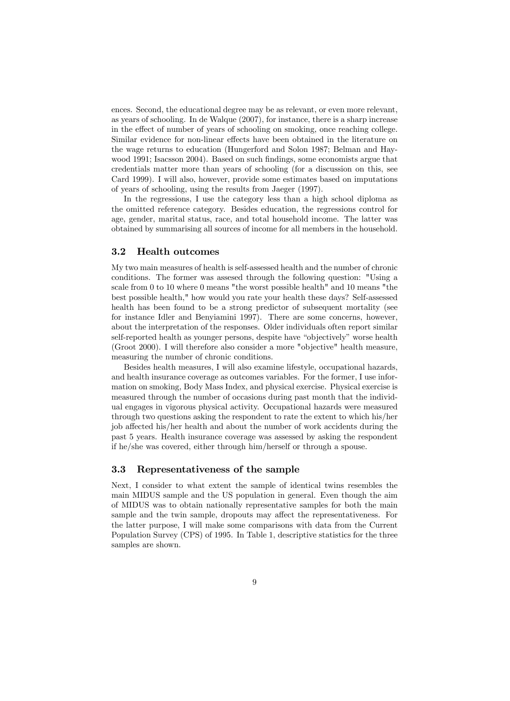ences. Second, the educational degree may be as relevant, or even more relevant, as years of schooling. In de Walque (2007), for instance, there is a sharp increase in the effect of number of years of schooling on smoking, once reaching college. Similar evidence for non-linear effects have been obtained in the literature on the wage returns to education (Hungerford and Solon 1987; Belman and Haywood 1991; Isacsson 2004). Based on such findings, some economists argue that credentials matter more than years of schooling (for a discussion on this, see Card 1999). I will also, however, provide some estimates based on imputations of years of schooling, using the results from Jaeger (1997).

In the regressions, I use the category less than a high school diploma as the omitted reference category. Besides education, the regressions control for age, gender, marital status, race, and total household income. The latter was obtained by summarising all sources of income for all members in the household.

#### 3.2 Health outcomes

My two main measures of health is self-assessed health and the number of chronic conditions. The former was assesed through the following question: "Using a scale from 0 to 10 where 0 means "the worst possible health" and 10 means "the best possible health," how would you rate your health these days? Self-assessed health has been found to be a strong predictor of subsequent mortality (see for instance Idler and Benyiamini 1997). There are some concerns, however, about the interpretation of the responses. Older individuals often report similar self-reported health as younger persons, despite have "objectively" worse health (Groot 2000). I will therefore also consider a more "objective" health measure, measuring the number of chronic conditions.

Besides health measures, I will also examine lifestyle, occupational hazards, and health insurance coverage as outcomes variables. For the former, I use information on smoking, Body Mass Index, and physical exercise. Physical exercise is measured through the number of occasions during past month that the individual engages in vigorous physical activity. Occupational hazards were measured through two questions asking the respondent to rate the extent to which his/her job affected his/her health and about the number of work accidents during the past 5 years. Health insurance coverage was assessed by asking the respondent if he/she was covered, either through him/herself or through a spouse.

#### 3.3 Representativeness of the sample

Next, I consider to what extent the sample of identical twins resembles the main MIDUS sample and the US population in general. Even though the aim of MIDUS was to obtain nationally representative samples for both the main sample and the twin sample, dropouts may affect the representativeness. For the latter purpose, I will make some comparisons with data from the Current Population Survey (CPS) of 1995. In Table 1, descriptive statistics for the three samples are shown.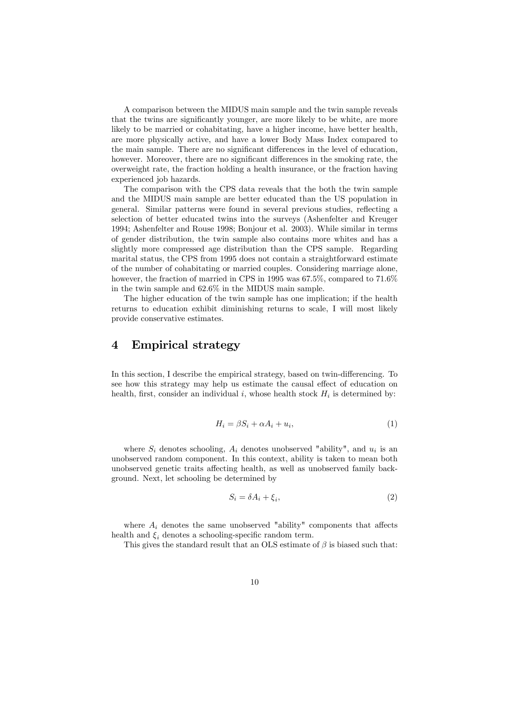A comparison between the MIDUS main sample and the twin sample reveals that the twins are significantly younger, are more likely to be white, are more likely to be married or cohabitating, have a higher income, have better health, are more physically active, and have a lower Body Mass Index compared to the main sample. There are no significant differences in the level of education, however. Moreover, there are no significant differences in the smoking rate, the overweight rate, the fraction holding a health insurance, or the fraction having experienced job hazards.

The comparison with the CPS data reveals that the both the twin sample and the MIDUS main sample are better educated than the US population in general. Similar patterns were found in several previous studies, reflecting a selection of better educated twins into the surveys (Ashenfelter and Kreuger 1994; Ashenfelter and Rouse 1998; Bonjour et al. 2003). While similar in terms of gender distribution, the twin sample also contains more whites and has a slightly more compressed age distribution than the CPS sample. Regarding marital status, the CPS from 1995 does not contain a straightforward estimate of the number of cohabitating or married couples. Considering marriage alone, however, the fraction of married in CPS in 1995 was 67.5%, compared to  $71.6\%$ in the twin sample and 62.6% in the MIDUS main sample.

The higher education of the twin sample has one implication; if the health returns to education exhibit diminishing returns to scale, I will most likely provide conservative estimates.

#### 4 Empirical strategy

In this section, I describe the empirical strategy, based on twin-differencing. To see how this strategy may help us estimate the causal effect of education on health, first, consider an individual  $i$ , whose health stock  $H_i$  is determined by:

$$
H_i = \beta S_i + \alpha A_i + u_i,\tag{1}
$$

where  $S_i$  denotes schooling,  $A_i$  denotes unobserved "ability", and  $u_i$  is an unobserved random component. In this context, ability is taken to mean both unobserved genetic traits affecting health, as well as unobserved family background. Next, let schooling be determined by

$$
S_i = \delta A_i + \xi_i,\tag{2}
$$

where  $A_i$  denotes the same unobserved "ability" components that affects health and  $\xi_i$  denotes a schooling-specific random term.

This gives the standard result that an OLS estimate of  $\beta$  is biased such that: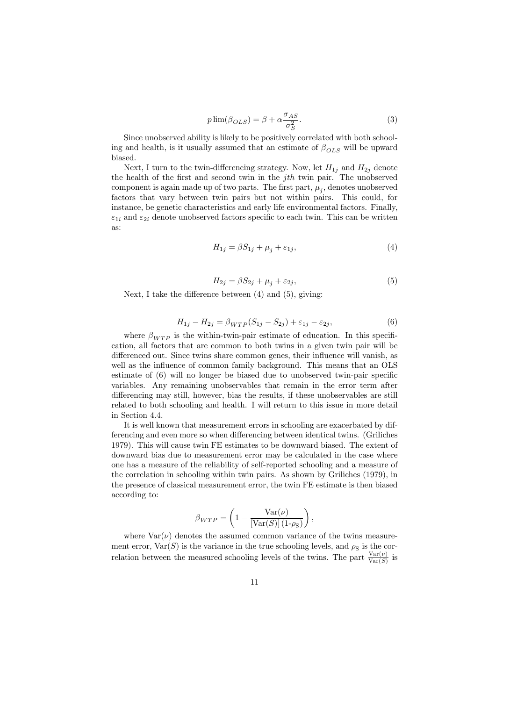$$
p\lim(\beta_{OLS}) = \beta + \alpha \frac{\sigma_{AS}}{\sigma_S^2}.
$$
\n(3)

Since unobserved ability is likely to be positively correlated with both schooling and health, is it usually assumed that an estimate of  $\beta_{OLS}$  will be upward biased.

Next, I turn to the twin-differencing strategy. Now, let  $H_{1j}$  and  $H_{2j}$  denote the health of the first and second twin in the  $jth$  twin pair. The unobserved component is again made up of two parts. The first part,  $\mu_j$ , denotes unobserved factors that vary between twin pairs but not within pairs. This could, for instance, be genetic characteristics and early life environmental factors. Finally,  $\varepsilon_{1i}$  and  $\varepsilon_{2i}$  denote unobserved factors specific to each twin. This can be written as:

$$
H_{1j} = \beta S_{1j} + \mu_j + \varepsilon_{1j},\tag{4}
$$

$$
H_{2j} = \beta S_{2j} + \mu_j + \varepsilon_{2j},\tag{5}
$$

Next, I take the difference between  $(4)$  and  $(5)$ , giving:

$$
H_{1j} - H_{2j} = \beta_{WTP}(S_{1j} - S_{2j}) + \varepsilon_{1j} - \varepsilon_{2j},\tag{6}
$$

where  $\beta_{WTP}$  is the within-twin-pair estimate of education. In this specification, all factors that are common to both twins in a given twin pair will be differenced out. Since twins share common genes, their influence will vanish, as well as the influence of common family background. This means that an OLS estimate of  $(6)$  will no longer be biased due to unobserved twin-pair specific variables. Any remaining unobservables that remain in the error term after differencing may still, however, bias the results, if these unobservables are still related to both schooling and health. I will return to this issue in more detail in Section 4.4.

It is well known that measurement errors in schooling are exacerbated by differencing and even more so when differencing between identical twins. (Griliches 1979). This will cause twin FE estimates to be downward biased. The extent of downward bias due to measurement error may be calculated in the case where one has a measure of the reliability of self-reported schooling and a measure of the correlation in schooling within twin pairs. As shown by Griliches (1979), in the presence of classical measurement error, the twin FE estimate is then biased according to:

$$
\beta_{WTP} = \left(1 - \frac{\text{Var}(\nu)}{[\text{Var}(S)](1-\rho_{\text{S}})}\right),\,
$$

where  $Var(\nu)$  denotes the assumed common variance of the twins measurement error,  $\text{Var}(S)$  is the variance in the true schooling levels, and  $\rho_{\rm S}$  is the correlation between the measured schooling levels of the twins. The part  $\frac{\text{Var}(\nu)}{\text{Var}(S)}$  is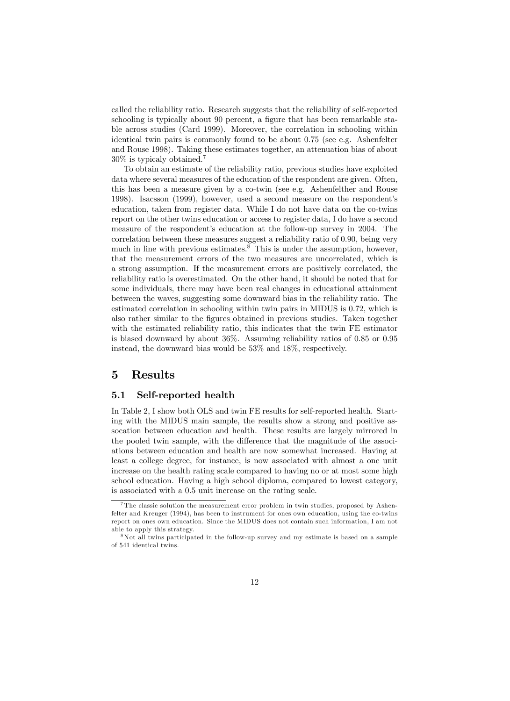called the reliability ratio. Research suggests that the reliability of self-reported schooling is typically about 90 percent, a figure that has been remarkable stable across studies (Card 1999). Moreover, the correlation in schooling within identical twin pairs is commonly found to be about 0.75 (see e.g. Ashenfelter and Rouse 1998). Taking these estimates together, an attenuation bias of about 30% is typicaly obtained.<sup>7</sup>

To obtain an estimate of the reliability ratio, previous studies have exploited data where several measures of the education of the respondent are given. Often, this has been a measure given by a co-twin (see e.g. Ashenfelther and Rouse 1998). Isacsson (1999), however, used a second measure on the respondentís education, taken from register data. While I do not have data on the co-twins report on the other twins education or access to register data, I do have a second measure of the respondent's education at the follow-up survey in 2004. The correlation between these measures suggest a reliability ratio of 0.90, being very much in line with previous estimates.<sup>8</sup> This is under the assumption, however, that the measurement errors of the two measures are uncorrelated, which is a strong assumption. If the measurement errors are positively correlated, the reliability ratio is overestimated. On the other hand, it should be noted that for some individuals, there may have been real changes in educational attainment between the waves, suggesting some downward bias in the reliability ratio. The estimated correlation in schooling within twin pairs in MIDUS is 0.72, which is also rather similar to the figures obtained in previous studies. Taken together with the estimated reliability ratio, this indicates that the twin FE estimator is biased downward by about 36%. Assuming reliability ratios of 0.85 or 0.95 instead, the downward bias would be 53% and 18%, respectively.

#### 5 Results

#### 5.1 Self-reported health

In Table 2, I show both OLS and twin FE results for self-reported health. Starting with the MIDUS main sample, the results show a strong and positive assocation between education and health. These results are largely mirrored in the pooled twin sample, with the difference that the magnitude of the associations between education and health are now somewhat increased. Having at least a college degree, for instance, is now associated with almost a one unit increase on the health rating scale compared to having no or at most some high school education. Having a high school diploma, compared to lowest category, is associated with a 0.5 unit increase on the rating scale.

<sup>&</sup>lt;sup>7</sup>The classic solution the measurement error problem in twin studies, proposed by Ashenfelter and Kreuger (1994), has been to instrument for ones own education, using the co-twins report on ones own education. Since the MIDUS does not contain such information, I am not able to apply this strategy.

<sup>8</sup>Not all twins participated in the follow-up survey and my estimate is based on a sample of 541 identical twins.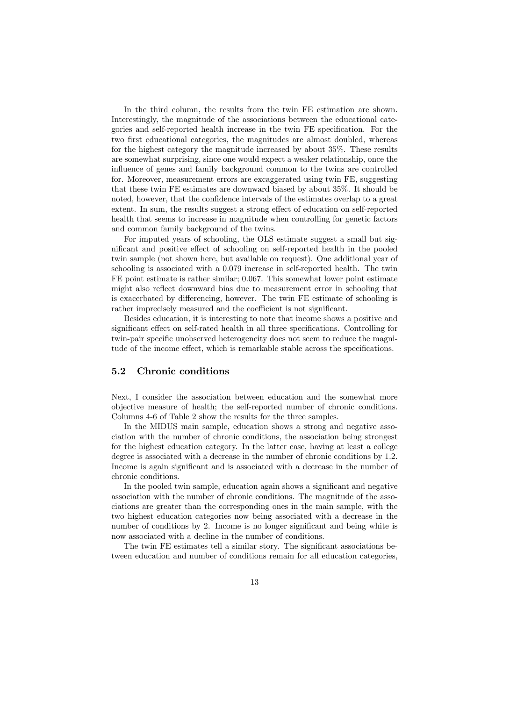In the third column, the results from the twin FE estimation are shown. Interestingly, the magnitude of the associations between the educational categories and self-reported health increase in the twin FE specification. For the two first educational categories, the magnitudes are almost doubled, whereas for the highest category the magnitude increased by about 35%. These results are somewhat surprising, since one would expect a weaker relationship, once the influence of genes and family background common to the twins are controlled for. Moreover, measurement errors are excaggerated using twin FE, suggesting that these twin FE estimates are downward biased by about 35%. It should be noted, however, that the confidence intervals of the estimates overlap to a great extent. In sum, the results suggest a strong effect of education on self-reported health that seems to increase in magnitude when controlling for genetic factors and common family background of the twins.

For imputed years of schooling, the OLS estimate suggest a small but significant and positive effect of schooling on self-reported health in the pooled twin sample (not shown here, but available on request). One additional year of schooling is associated with a 0.079 increase in self-reported health. The twin FE point estimate is rather similar; 0.067. This somewhat lower point estimate might also reflect downward bias due to measurement error in schooling that is exacerbated by differencing, however. The twin FE estimate of schooling is rather imprecisely measured and the coefficient is not significant.

Besides education, it is interesting to note that income shows a positive and significant effect on self-rated health in all three specifications. Controlling for twin-pair specific unobserved heterogeneity does not seem to reduce the magnitude of the income effect, which is remarkable stable across the specifications.

#### 5.2 Chronic conditions

Next, I consider the association between education and the somewhat more objective measure of health; the self-reported number of chronic conditions. Columns 4-6 of Table 2 show the results for the three samples.

In the MIDUS main sample, education shows a strong and negative association with the number of chronic conditions, the association being strongest for the highest education category. In the latter case, having at least a college degree is associated with a decrease in the number of chronic conditions by 1.2. Income is again significant and is associated with a decrease in the number of chronic conditions.

In the pooled twin sample, education again shows a significant and negative association with the number of chronic conditions. The magnitude of the associations are greater than the corresponding ones in the main sample, with the two highest education categories now being associated with a decrease in the number of conditions by 2. Income is no longer significant and being white is now associated with a decline in the number of conditions.

The twin FE estimates tell a similar story. The significant associations between education and number of conditions remain for all education categories,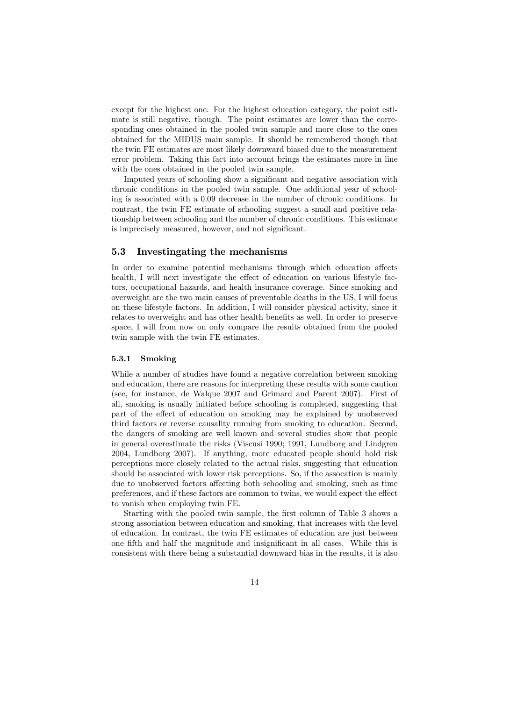except for the highest one. For the highest education category, the point estimate is still negative, though. The point estimates are lower than the corresponding ones obtained in the pooled twin sample and more close to the ones obtained for the MIDUS main sample. It should be remembered though that the twin FE estimates are most likely downward biased due to the measurement error problem. Taking this fact into account brings the estimates more in line with the ones obtained in the pooled twin sample.

Imputed years of schooling show a significant and negative association with chronic conditions in the pooled twin sample. One additional year of schooling is associated with a 0.09 decrease in the number of chronic conditions. In contrast, the twin FE estimate of schooling suggest a small and positive relationship between schooling and the number of chronic conditions. This estimate is imprecisely measured, however, and not significant.

#### 5.3 Investingating the mechanisms

In order to examine potential mechanisms through which education affects health, I will next investigate the effect of education on various lifestyle factors, occupational hazards, and health insurance coverage. Since smoking and overweight are the two main causes of preventable deaths in the US, I will focus on these lifestyle factors. In addition, I will consider physical activity, since it relates to overweight and has other health benefits as well. In order to preserve space, I will from now on only compare the results obtained from the pooled twin sample with the twin FE estimates.

#### 5.3.1 Smoking

While a number of studies have found a negative correlation between smoking and education, there are reasons for interpreting these results with some caution (see, for instance, de Walque 2007 and Grimard and Parent 2007). First of all, smoking is usually initiated before schooling is completed, suggesting that part of the effect of education on smoking may be explained by unobserved third factors or reverse causality running from smoking to education. Second, the dangers of smoking are well known and several studies show that people in general overestimate the risks (Viscusi 1990; 1991, Lundborg and Lindgren 2004, Lundborg 2007). If anything, more educated people should hold risk perceptions more closely related to the actual risks, suggesting that education should be associated with lower risk perceptions. So, if the assocation is mainly due to unobserved factors affecting both schooling and smoking, such as time preferences, and if these factors are common to twins, we would expect the effect to vanish when employing twin FE.

Starting with the pooled twin sample, the first column of Table 3 shows a strong association between education and smoking, that increases with the level of education. In contrast, the twin FE estimates of education are just between one fifth and half the magnitude and insignificant in all cases. While this is consistent with there being a substantial downward bias in the results, it is also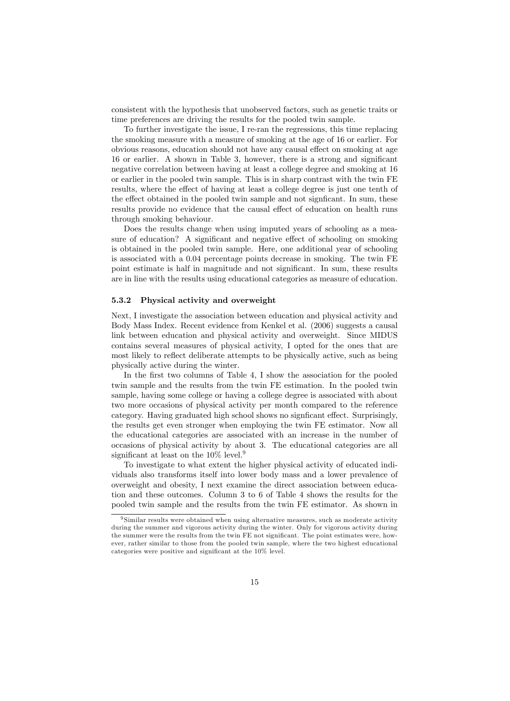consistent with the hypothesis that unobserved factors, such as genetic traits or time preferences are driving the results for the pooled twin sample.

To further investigate the issue, I re-ran the regressions, this time replacing the smoking measure with a measure of smoking at the age of 16 or earlier. For obvious reasons, education should not have any causal effect on smoking at age 16 or earlier. A shown in Table 3, however, there is a strong and significant negative correlation between having at least a college degree and smoking at 16 or earlier in the pooled twin sample. This is in sharp contrast with the twin FE results, where the effect of having at least a college degree is just one tenth of the effect obtained in the pooled twin sample and not significant. In sum, these results provide no evidence that the causal effect of education on health runs through smoking behaviour.

Does the results change when using imputed years of schooling as a measure of education? A significant and negative effect of schooling on smoking is obtained in the pooled twin sample. Here, one additional year of schooling is associated with a 0.04 percentage points decrease in smoking. The twin FE point estimate is half in magnitude and not significant. In sum, these results are in line with the results using educational categories as measure of education.

#### 5.3.2 Physical activity and overweight

Next, I investigate the association between education and physical activity and Body Mass Index. Recent evidence from Kenkel et al. (2006) suggests a causal link between education and physical activity and overweight. Since MIDUS contains several measures of physical activity, I opted for the ones that are most likely to reflect deliberate attempts to be physically active, such as being physically active during the winter.

In the first two columns of Table 4, I show the association for the pooled twin sample and the results from the twin FE estimation. In the pooled twin sample, having some college or having a college degree is associated with about two more occasions of physical activity per month compared to the reference category. Having graduated high school shows no significant effect. Surprisingly, the results get even stronger when employing the twin FE estimator. Now all the educational categories are associated with an increase in the number of occasions of physical activity by about 3. The educational categories are all significant at least on the  $10\%$  level.<sup>9</sup>

To investigate to what extent the higher physical activity of educated individuals also transforms itself into lower body mass and a lower prevalence of overweight and obesity, I next examine the direct association between education and these outcomes. Column 3 to 6 of Table 4 shows the results for the pooled twin sample and the results from the twin FE estimator. As shown in

<sup>&</sup>lt;sup>9</sup> Similar results were obtained when using alternative measures, such as moderate activity during the summer and vigorous activity during the winter. Only for vigorous activity during the summer were the results from the twin FE not significant. The point estimates were, however, rather similar to those from the pooled twin sample, where the two highest educational categories were positive and significant at the 10% level.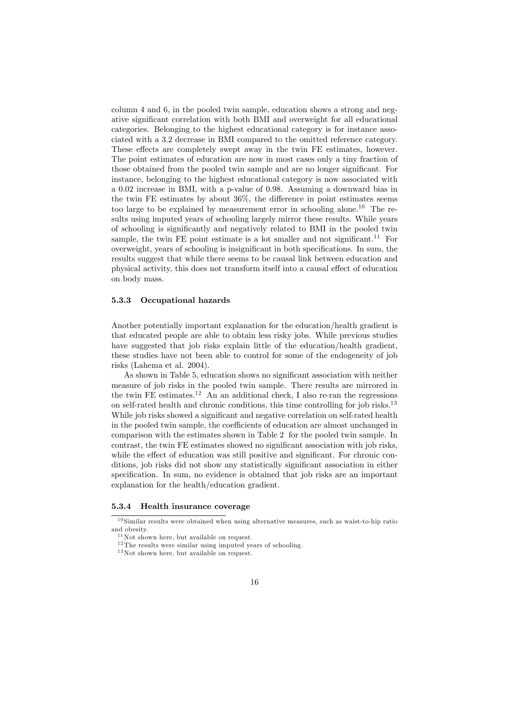column 4 and 6, in the pooled twin sample, education shows a strong and negative significant correlation with both BMI and overweight for all educational categories. Belonging to the highest educational category is for instance associated with a 3.2 decrease in BMI compared to the omitted reference category. These effects are completely swept away in the twin FE estimates, however. The point estimates of education are now in most cases only a tiny fraction of those obtained from the pooled twin sample and are no longer significant. For instance, belonging to the highest educational category is now associated with a 0.02 increase in BMI, with a p-value of 0.98. Assuming a downward bias in the twin  $FE$  estimates by about  $36\%$ , the difference in point estimates seems too large to be explained by measurement error in schooling alone.<sup>10</sup> The results using imputed years of schooling largely mirror these results. While years of schooling is significantly and negatively related to BMI in the pooled twin sample, the twin FE point estimate is a lot smaller and not significant.<sup>11</sup> For overweight, years of schooling is insignificant in both specifications. In sum, the results suggest that while there seems to be causal link between education and physical activity, this does not transform itself into a causal effect of education on body mass.

#### 5.3.3 Occupational hazards

Another potentially important explanation for the education/health gradient is that educated people are able to obtain less risky jobs. While previous studies have suggested that job risks explain little of the education/health gradient, these studies have not been able to control for some of the endogeneity of job risks (Lahema et al. 2004).

As shown in Table 5, education shows no significant association with neither measure of job risks in the pooled twin sample. There results are mirrored in the twin FE estimates.<sup>12</sup> An an additional check, I also re-ran the regressions on self-rated health and chronic conditions, this time controlling for job risks.<sup>13</sup> While job risks showed a significant and negative correlation on self-rated health in the pooled twin sample, the coefficients of education are almost unchanged in comparison with the estimates shown in Table 2 for the pooled twin sample. In contrast, the twin FE estimates showed no significant association with job risks, while the effect of education was still positive and significant. For chronic conditions, job risks did not show any statistically significant association in either specification. In sum, no evidence is obtained that job risks are an important explanation for the health/education gradient.

#### 5.3.4 Health insurance coverage

 $10$  Similar results were obtained when using alternative measures, such as waist-to-hip ratio and obesity.

 $11$  Not shown here, but available on request.

 $12$  The results were similar using imputed years of schooling.

<sup>&</sup>lt;sup>13</sup> Not shown here, but available on request.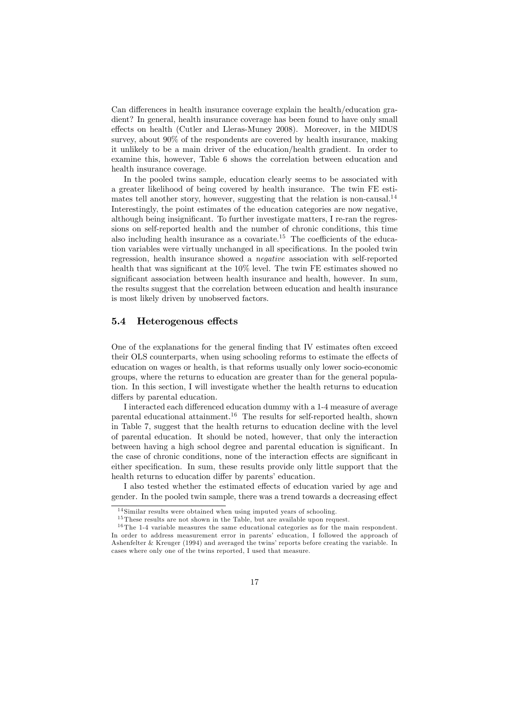Can differences in health insurance coverage explain the health/education gradient? In general, health insurance coverage has been found to have only small effects on health (Cutler and Lleras-Muney 2008). Moreover, in the MIDUS survey, about 90% of the respondents are covered by health insurance, making it unlikely to be a main driver of the education/health gradient. In order to examine this, however, Table 6 shows the correlation between education and health insurance coverage.

In the pooled twins sample, education clearly seems to be associated with a greater likelihood of being covered by health insurance. The twin FE estimates tell another story, however, suggesting that the relation is non-causal.<sup>14</sup> Interestingly, the point estimates of the education categories are now negative, although being insignificant. To further investigate matters, I re-ran the regressions on self-reported health and the number of chronic conditions, this time also including health insurance as a covariate.<sup>15</sup> The coefficients of the education variables were virtually unchanged in all specifications. In the pooled twin regression, health insurance showed a negative association with self-reported health that was significant at the  $10\%$  level. The twin FE estimates showed no significant association between health insurance and health, however. In sum, the results suggest that the correlation between education and health insurance is most likely driven by unobserved factors.

#### 5.4 Heterogenous effects

One of the explanations for the general finding that IV estimates often exceed their OLS counterparts, when using schooling reforms to estimate the effects of education on wages or health, is that reforms usually only lower socio-economic groups, where the returns to education are greater than for the general population. In this section, I will investigate whether the health returns to education differs by parental education.

I interacted each differenced education dummy with a 1-4 measure of average parental educational attainment.<sup>16</sup> The results for self-reported health, shown in Table 7, suggest that the health returns to education decline with the level of parental education. It should be noted, however, that only the interaction between having a high school degree and parental education is significant. In the case of chronic conditions, none of the interaction effects are significant in either specification. In sum, these results provide only little support that the health returns to education differ by parents' education.

I also tested whether the estimated effects of education varied by age and gender. In the pooled twin sample, there was a trend towards a decreasing effect

<sup>&</sup>lt;sup>14</sup> Similar results were obtained when using imputed years of schooling.

<sup>&</sup>lt;sup>15</sup> These results are not shown in the Table, but are available upon request.

 $16$  The 1-4 variable measures the same educational categories as for the main respondent. In order to address measurement error in parents' education, I followed the approach of Ashenfelter & Kreuger (1994) and averaged the twins' reports before creating the variable. In cases where only one of the twins reported, I used that measure.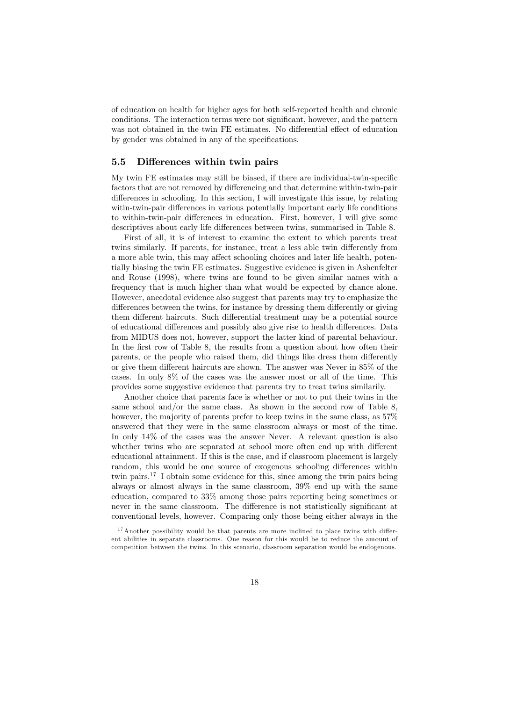of education on health for higher ages for both self-reported health and chronic conditions. The interaction terms were not significant, however, and the pattern was not obtained in the twin FE estimates. No differential effect of education by gender was obtained in any of the specifications.

#### 5.5 Differences within twin pairs

My twin FE estimates may still be biased, if there are individual-twin-specific factors that are not removed by differencing and that determine within-twin-pair differences in schooling. In this section, I will investigate this issue, by relating witin-twin-pair differences in various potentially important early life conditions to within-twin-pair differences in education. First, however, I will give some descriptives about early life differences between twins, summarised in Table 8.

First of all, it is of interest to examine the extent to which parents treat twins similarly. If parents, for instance, treat a less able twin differently from a more able twin, this may affect schooling choices and later life health, potentially biasing the twin FE estimates. Suggestive evidence is given in Ashenfelter and Rouse (1998), where twins are found to be given similar names with a frequency that is much higher than what would be expected by chance alone. However, anecdotal evidence also suggest that parents may try to emphasize the differences between the twins, for instance by dressing them differently or giving them different haircuts. Such differential treatment may be a potential source of educational differences and possibly also give rise to health differences. Data from MIDUS does not, however, support the latter kind of parental behaviour. In the first row of Table 8, the results from a question about how often their parents, or the people who raised them, did things like dress them differently or give them different haircuts are shown. The answer was Never in  $85\%$  of the cases. In only 8% of the cases was the answer most or all of the time. This provides some suggestive evidence that parents try to treat twins similarily.

Another choice that parents face is whether or not to put their twins in the same school and/or the same class. As shown in the second row of Table 8, however, the majority of parents prefer to keep twins in the same class, as  $57\%$ answered that they were in the same classroom always or most of the time. In only 14% of the cases was the answer Never. A relevant question is also whether twins who are separated at school more often end up with different educational attainment. If this is the case, and if classroom placement is largely random, this would be one source of exogenous schooling differences within twin pairs.<sup>17</sup> I obtain some evidence for this, since among the twin pairs being always or almost always in the same classroom, 39% end up with the same education, compared to 33% among those pairs reporting being sometimes or never in the same classroom. The difference is not statistically significant at conventional levels, however. Comparing only those being either always in the

 $17$ Another possibility would be that parents are more inclined to place twins with different abilities in separate classrooms. One reason for this would be to reduce the amount of competition between the twins. In this scenario, classroom separation would be endogenous.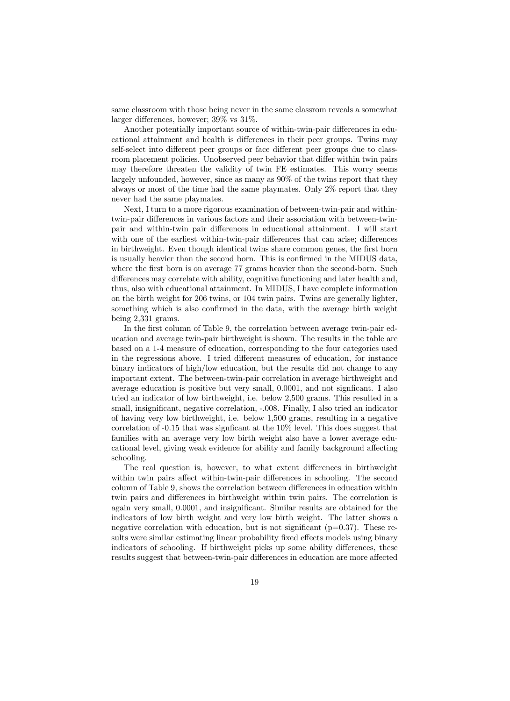same classroom with those being never in the same classrom reveals a somewhat larger differences, however;  $39\%$  vs  $31\%$ .

Another potentially important source of within-twin-pair differences in educational attainment and health is differences in their peer groups. Twins may self-select into different peer groups or face different peer groups due to classroom placement policies. Unobserved peer behavior that differ within twin pairs may therefore threaten the validity of twin FE estimates. This worry seems largely unfounded, however, since as many as 90% of the twins report that they always or most of the time had the same playmates. Only 2% report that they never had the same playmates.

Next, I turn to a more rigorous examination of between-twin-pair and withintwin-pair differences in various factors and their association with between-twinpair and within-twin pair differences in educational attainment. I will start with one of the earliest within-twin-pair differences that can arise; differences in birthweight. Even though identical twins share common genes, the Örst born is usually heavier than the second born. This is confirmed in the MIDUS data, where the first born is on average 77 grams heavier than the second-born. Such differences may correlate with ability, cognitive functioning and later health and, thus, also with educational attainment. In MIDUS, I have complete information on the birth weight for 206 twins, or 104 twin pairs. Twins are generally lighter, something which is also confirmed in the data, with the average birth weight being 2,331 grams.

In the first column of Table 9, the correlation between average twin-pair education and average twin-pair birthweight is shown. The results in the table are based on a 1-4 measure of education, corresponding to the four categories used in the regressions above. I tried different measures of education, for instance binary indicators of high/low education, but the results did not change to any important extent. The between-twin-pair correlation in average birthweight and average education is positive but very small,  $0.0001$ , and not significant. I also tried an indicator of low birthweight, i.e. below 2,500 grams. This resulted in a small, insignificant, negative correlation, -.008. Finally, I also tried an indicator of having very low birthweight, i.e. below 1,500 grams, resulting in a negative correlation of  $-0.15$  that was significant at the  $10\%$  level. This does suggest that families with an average very low birth weight also have a lower average educational level, giving weak evidence for ability and family background affecting schooling.

The real question is, however, to what extent differences in birthweight within twin pairs affect within-twin-pair differences in schooling. The second column of Table 9, shows the correlation between differences in education within twin pairs and differences in birthweight within twin pairs. The correlation is again very small, 0.0001, and insignificant. Similar results are obtained for the indicators of low birth weight and very low birth weight. The latter shows a negative correlation with education, but is not significant ( $p=0.37$ ). These results were similar estimating linear probability fixed effects models using binary indicators of schooling. If birthweight picks up some ability differences, these results suggest that between-twin-pair differences in education are more affected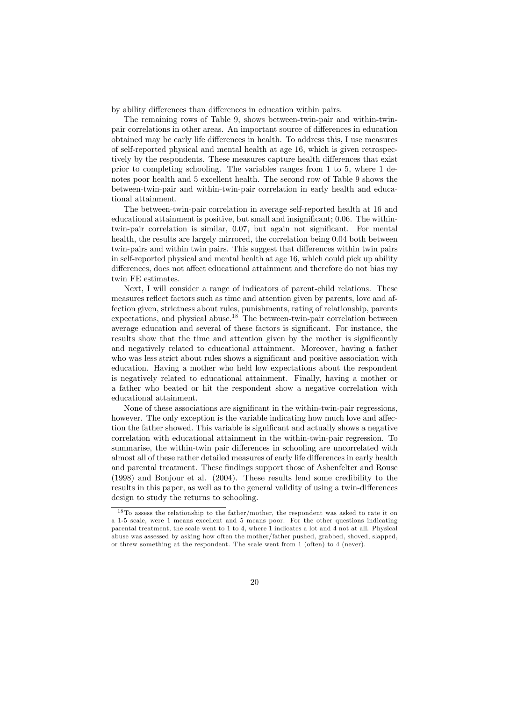by ability differences than differences in education within pairs.

The remaining rows of Table 9, shows between-twin-pair and within-twinpair correlations in other areas. An important source of differences in education obtained may be early life differences in health. To address this, I use measures of self-reported physical and mental health at age 16, which is given retrospectively by the respondents. These measures capture health differences that exist prior to completing schooling. The variables ranges from 1 to 5, where 1 denotes poor health and 5 excellent health. The second row of Table 9 shows the between-twin-pair and within-twin-pair correlation in early health and educational attainment.

The between-twin-pair correlation in average self-reported health at 16 and educational attainment is positive, but small and insignificant; 0.06. The withintwin-pair correlation is similar, 0.07, but again not significant. For mental health, the results are largely mirrored, the correlation being 0.04 both between twin-pairs and within twin pairs. This suggest that differences within twin pairs in self-reported physical and mental health at age 16, which could pick up ability differences, does not affect educational attainment and therefore do not bias my twin FE estimates.

Next, I will consider a range of indicators of parent-child relations. These measures reflect factors such as time and attention given by parents, love and affection given, strictness about rules, punishments, rating of relationship, parents expectations, and physical abuse.<sup>18</sup> The between-twin-pair correlation between average education and several of these factors is significant. For instance, the results show that the time and attention given by the mother is significantly and negatively related to educational attainment. Moreover, having a father who was less strict about rules shows a significant and positive association with education. Having a mother who held low expectations about the respondent is negatively related to educational attainment. Finally, having a mother or a father who beated or hit the respondent show a negative correlation with educational attainment.

None of these associations are significant in the within-twin-pair regressions, however. The only exception is the variable indicating how much love and affection the father showed. This variable is significant and actually shows a negative correlation with educational attainment in the within-twin-pair regression. To summarise, the within-twin pair differences in schooling are uncorrelated with almost all of these rather detailed measures of early life differences in early health and parental treatment. These findings support those of Ashenfelter and Rouse (1998) and Bonjour et al. (2004). These results lend some credibility to the results in this paper, as well as to the general validity of using a twin-differences design to study the returns to schooling.

<sup>&</sup>lt;sup>18</sup>To assess the relationship to the father/mother, the respondent was asked to rate it on a 1-5 scale, were 1 means excellent and 5 means poor. For the other questions indicating parental treatment, the scale went to 1 to 4, where 1 indicates a lot and 4 not at all. Physical abuse was assessed by asking how often the mother/father pushed, grabbed, shoved, slapped, or threw something at the respondent. The scale went from 1 (often) to 4 (never).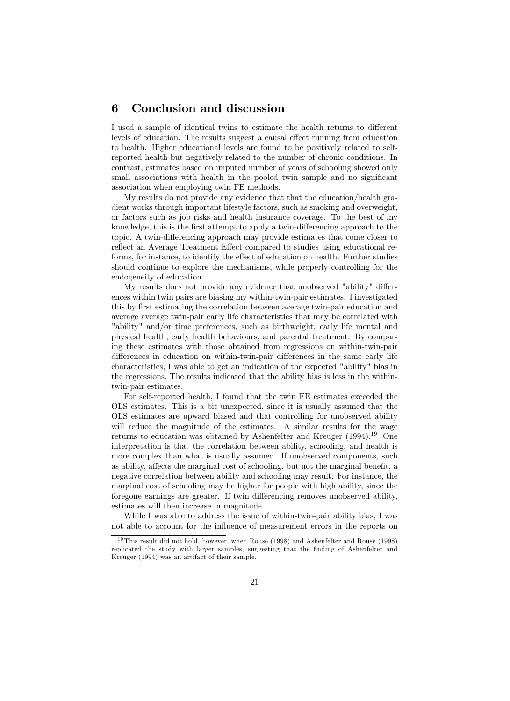#### 6 Conclusion and discussion

I used a sample of identical twins to estimate the health returns to different levels of education. The results suggest a causal effect running from education to health. Higher educational levels are found to be positively related to selfreported health but negatively related to the number of chronic conditions. In contrast, estimates based on imputed number of years of schooling showed only small associations with health in the pooled twin sample and no significant association when employing twin FE methods.

My results do not provide any evidence that that the education/health gradient works through important lifestyle factors, such as smoking and overweight, or factors such as job risks and health insurance coverage. To the best of my knowledge, this is the first attempt to apply a twin-differencing approach to the topic. A twin-differencing approach may provide estimates that come closer to reflect an Average Treatment Effect compared to studies using educational reforms, for instance, to identify the effect of education on health. Further studies should continue to explore the mechanisms, while properly controlling for the endogeneity of education.

My results does not provide any evidence that unobserved "ability" differences within twin pairs are biasing my within-twin-pair estimates. I investigated this by first estimating the correlation between average twin-pair education and average average twin-pair early life characteristics that may be correlated with "ability" and/or time preferences, such as birthweight, early life mental and physical health, early health behaviours, and parental treatment. By comparing these estimates with those obtained from regressions on within-twin-pair differences in education on within-twin-pair differences in the same early life characteristics, I was able to get an indication of the expected "ability" bias in the regressions. The results indicated that the ability bias is less in the withintwin-pair estimates.

For self-reported health, I found that the twin FE estimates exceeded the OLS estimates. This is a bit unexpected, since it is usually assumed that the OLS estimates are upward biased and that controlling for unobserved ability will reduce the magnitude of the estimates. A similar results for the wage returns to education was obtained by Ashenfelter and Kreuger (1994).<sup>19</sup> One interpretation is that the correlation between ability, schooling, and health is more complex than what is usually assumed. If unobserved components, such as ability, affects the marginal cost of schooling, but not the marginal benefit, a negative correlation between ability and schooling may result. For instance, the marginal cost of schooling may be higher for people with high ability, since the foregone earnings are greater. If twin differencing removes unobserved ability, estimates will then increase in magnitude.

While I was able to address the issue of within-twin-pair ability bias, I was not able to account for the ináuence of measurement errors in the reports on

<sup>&</sup>lt;sup>19</sup> This result did not hold, however, when Rouse  $(1998)$  and Ashenfelter and Rouse  $(1998)$ replicated the study with larger samples, suggesting that the Önding of Ashenfelter and Kreuger (1994) was an artifact of their sample.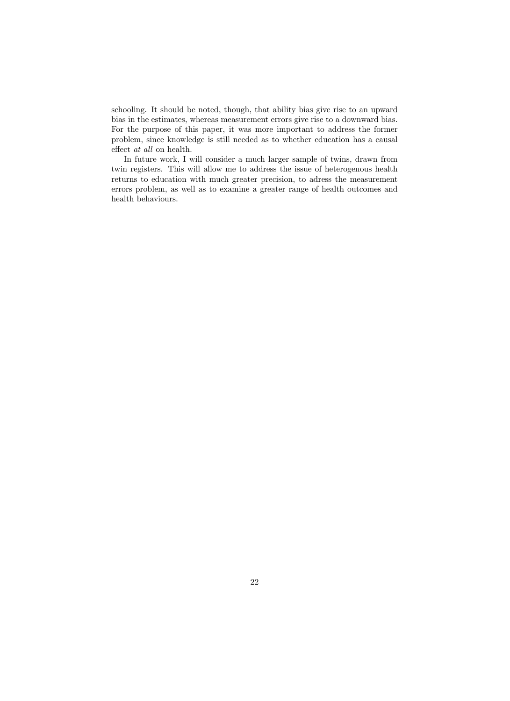schooling. It should be noted, though, that ability bias give rise to an upward bias in the estimates, whereas measurement errors give rise to a downward bias. For the purpose of this paper, it was more important to address the former problem, since knowledge is still needed as to whether education has a causal effect  $at$   $all$  on health.

In future work, I will consider a much larger sample of twins, drawn from twin registers. This will allow me to address the issue of heterogenous health returns to education with much greater precision, to adress the measurement errors problem, as well as to examine a greater range of health outcomes and health behaviours.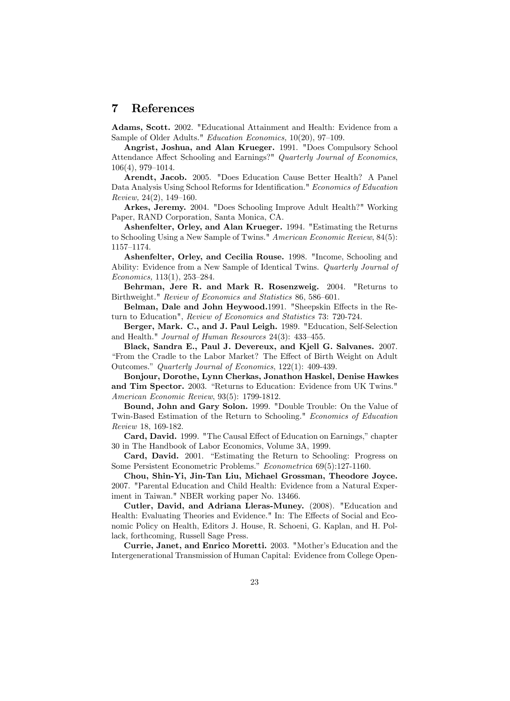#### 7 References

Adams, Scott. 2002. "Educational Attainment and Health: Evidence from a Sample of Older Adults." Education Economics, 10(20), 97–109.

Angrist, Joshua, and Alan Krueger. 1991. "Does Compulsory School Attendance Affect Schooling and Earnings?" Quarterly Journal of Economics,  $106(4)$ , 979-1014.

Arendt, Jacob. 2005. "Does Education Cause Better Health? A Panel Data Analysis Using School Reforms for Identification." Economics of Education Review,  $24(2)$ ,  $149-160$ .

Arkes, Jeremy. 2004. "Does Schooling Improve Adult Health?" Working Paper, RAND Corporation, Santa Monica, CA.

Ashenfelter, Orley, and Alan Krueger. 1994. "Estimating the Returns to Schooling Using a New Sample of Twins." American Economic Review, 84(5): 1157-1174.

Ashenfelter, Orley, and Cecilia Rouse. 1998. "Income, Schooling and Ability: Evidence from a New Sample of Identical Twins. Quarterly Journal of  $Economics, 113(1), 253-284.$ 

Behrman, Jere R. and Mark R. Rosenzweig. 2004. "Returns to Birthweight." Review of Economics and Statistics 86, 586–601.

Belman, Dale and John Heywood.1991. "Sheepskin Effects in the Return to Education", Review of Economics and Statistics 73: 720-724.

Berger, Mark. C., and J. Paul Leigh. 1989. "Education, Self-Selection and Health." Journal of Human Resources  $24(3)$ :  $433-455$ .

Black, Sandra E., Paul J. Devereux, and Kjell G. Salvanes. 2007. "From the Cradle to the Labor Market? The Effect of Birth Weight on Adult Outcomes." Quarterly Journal of Economics, 122(1): 409-439.

Bonjour, Dorothe, Lynn Cherkas, Jonathon Haskel, Denise Hawkes and Tim Spector. 2003. "Returns to Education: Evidence from UK Twins." American Economic Review, 93(5): 1799-1812.

Bound, John and Gary Solon. 1999. "Double Trouble: On the Value of Twin-Based Estimation of the Return to Schooling." Economics of Education Review 18, 169-182.

Card, David. 1999. "The Causal Effect of Education on Earnings," chapter 30 in The Handbook of Labor Economics, Volume 3A, 1999.

Card, David. 2001. "Estimating the Return to Schooling: Progress on Some Persistent Econometric Problems." Econometrica 69(5):127-1160.

Chou, Shin-Yi, Jin-Tan Liu, Michael Grossman, Theodore Joyce. 2007. "Parental Education and Child Health: Evidence from a Natural Experiment in Taiwan." NBER working paper No. 13466.

Cutler, David, and Adriana Lleras-Muney. (2008). "Education and Health: Evaluating Theories and Evidence." In: The Effects of Social and Economic Policy on Health, Editors J. House, R. Schoeni, G. Kaplan, and H. Pollack, forthcoming, Russell Sage Press.

Currie, Janet, and Enrico Moretti. 2003. "Motherís Education and the Intergenerational Transmission of Human Capital: Evidence from College Open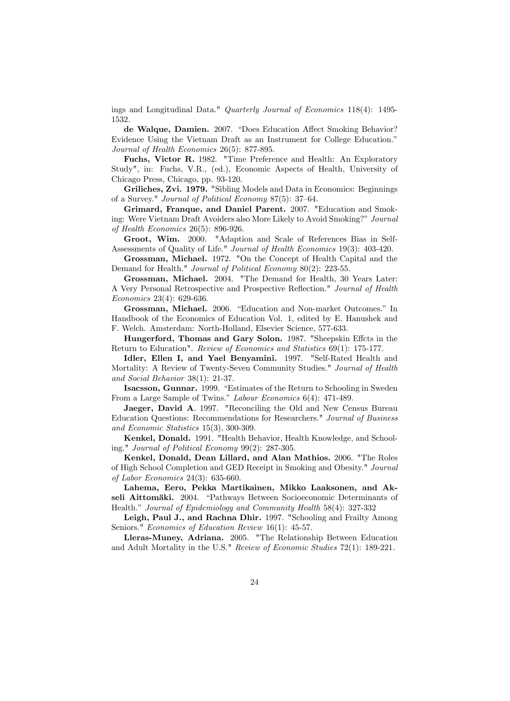ings and Longitudinal Data." Quarterly Journal of Economics 118(4): 1495- 1532.

de Walque, Damien. 2007. "Does Education Affect Smoking Behavior? Evidence Using the Vietnam Draft as an Instrument for College Education." Journal of Health Economics 26(5): 877-895.

Fuchs, Victor R. 1982. "Time Preference and Health: An Exploratory Study", in: Fuchs, V.R., (ed.), Economic Aspects of Health, University of Chicago Press, Chicago, pp. 93-120.

Griliches, Zvi. 1979. "Sibling Models and Data in Economics: Beginnings of a Survey." *Journal of Political Economy* 87(5):  $37-64$ .

Grimard, Franque, and Daniel Parent. 2007. "Education and Smoking: Were Vietnam Draft Avoiders also More Likely to Avoid Smoking?" Journal of Health Economics 26(5): 896-926.

Groot, Wim. 2000. "Adaption and Scale of References Bias in Self-Assessments of Quality of Life." Journal of Health Economics 19(3): 403-420.

Grossman, Michael. 1972. "On the Concept of Health Capital and the Demand for Health." Journal of Political Economy 80(2): 223-55.

Grossman, Michael. 2004. "The Demand for Health, 30 Years Later: A Very Personal Retrospective and Prospective Reflection." Journal of Health Economics 23(4): 629-636.

Grossman, Michael. 2006. "Education and Non-market Outcomes." In Handbook of the Economics of Education Vol. 1, edited by E. Hanushek and F. Welch. Amsterdam: North-Holland, Elsevier Science, 577-633.

Hungerford, Thomas and Gary Solon. 1987. "Sheepskin Effcts in the Return to Education". Review of Economics and Statistics 69(1): 175-177.

Idler, Ellen I, and Yael Benyamini. 1997. "Self-Rated Health and Mortality: A Review of Twenty-Seven Community Studies." Journal of Health and Social Behavior 38(1): 21-37.

Isacsson, Gunnar. 1999. "Estimates of the Return to Schooling in Sweden From a Large Sample of Twins." Labour Economics 6(4): 471-489.

Jaeger, David A. 1997. "Reconciling the Old and New Census Bureau Education Questions: Recommendations for Researchers." Journal of Business and Economic Statistics 15(3), 300-309.

Kenkel, Donald. 1991. "Health Behavior, Health Knowledge, and Schooling." Journal of Political Economy 99(2): 287-305.

Kenkel, Donald, Dean Lillard, and Alan Mathios. 2006. "The Roles of High School Completion and GED Receipt in Smoking and Obesity." Journal of Labor Economics 24(3): 635-660.

Lahema, Eero, Pekka Martikainen, Mikko Laaksonen, and Akseli Aittomäki. 2004. "Pathways Between Socioeconomic Determinants of Health." Journal of Epidemiology and Community Health 58(4): 327-332

Leigh, Paul J., and Rachna Dhir. 1997. "Schooling and Frailty Among Seniors." Economics of Education Review 16(1): 45-57.

Lleras-Muney, Adriana. 2005. "The Relationship Between Education and Adult Mortality in the U.S." Review of Economic Studies 72(1): 189-221.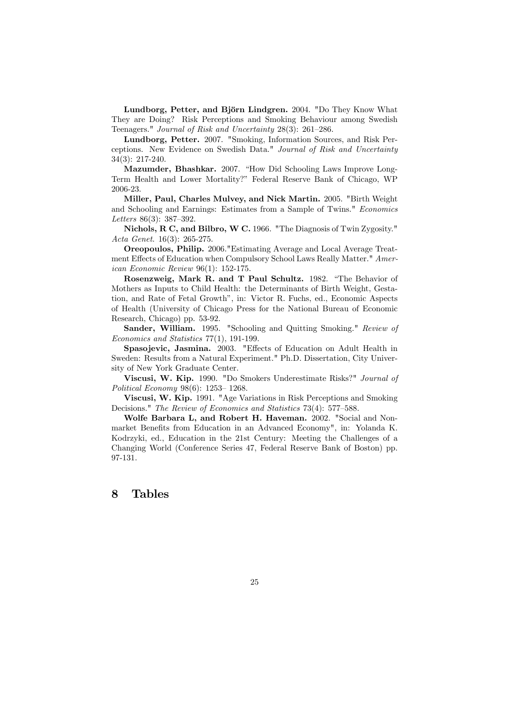Lundborg, Petter, and Björn Lindgren. 2004. "Do They Know What They are Doing? Risk Perceptions and Smoking Behaviour among Swedish Teenagers." Journal of Risk and Uncertainty  $28(3)$ :  $261-286$ .

Lundborg, Petter. 2007. "Smoking, Information Sources, and Risk Perceptions. New Evidence on Swedish Data." Journal of Risk and Uncertainty 34(3): 217-240.

Mazumder, Bhashkar. 2007. "How Did Schooling Laws Improve Long-Term Health and Lower Mortality?î Federal Reserve Bank of Chicago, WP 2006-23.

Miller, Paul, Charles Mulvey, and Nick Martin. 2005. "Birth Weight and Schooling and Earnings: Estimates from a Sample of Twins." Economics Letters  $86(3)$ : 387–392.

Nichols, R C, and Bilbro, W C. 1966. "The Diagnosis of Twin Zygosity." Acta Genet. 16(3): 265-275.

Oreopoulos, Philip. 2006."Estimating Average and Local Average Treatment Effects of Education when Compulsory School Laws Really Matter." American Economic Review 96(1): 152-175.

Rosenzweig, Mark R. and T Paul Schultz. 1982. "The Behavior of Mothers as Inputs to Child Health: the Determinants of Birth Weight, Gestation, and Rate of Fetal Growth", in: Victor R. Fuchs, ed., Economic Aspects of Health (University of Chicago Press for the National Bureau of Economic Research, Chicago) pp. 53-92.

Sander, William. 1995. "Schooling and Quitting Smoking." Review of Economics and Statistics 77(1), 191-199.

Spasojevic, Jasmina. 2003. "Effects of Education on Adult Health in Sweden: Results from a Natural Experiment." Ph.D. Dissertation, City University of New York Graduate Center.

Viscusi, W. Kip. 1990. "Do Smokers Underestimate Risks?" Journal of Political Economy  $98(6)$ : 1253–1268.

Viscusi, W. Kip. 1991. "Age Variations in Risk Perceptions and Smoking Decisions." The Review of Economics and Statistics 73(4): 577–588.

Wolfe Barbara L, and Robert H. Haveman. 2002. "Social and Nonmarket Benefits from Education in an Advanced Economy", in: Yolanda K. Kodrzyki, ed., Education in the 21st Century: Meeting the Challenges of a Changing World (Conference Series 47, Federal Reserve Bank of Boston) pp. 97-131.

#### 8 Tables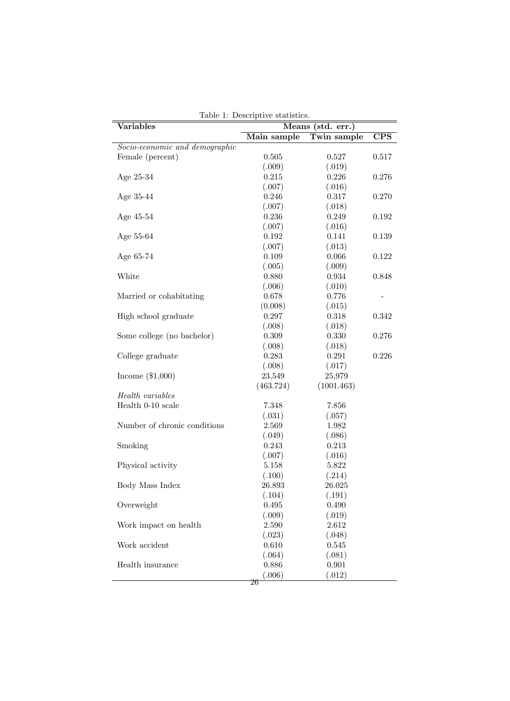| <b>Variables</b>               | rable r. Descriptive statistics.<br>Means<br>(std. err.) |            |                         |  |
|--------------------------------|----------------------------------------------------------|------------|-------------------------|--|
|                                | Main sample<br>Twin sample                               |            | $\overline{\text{CPS}}$ |  |
| Socio-economic and demographic |                                                          |            |                         |  |
| Female (percent)               | 0.505                                                    | 0.527      | 0.517                   |  |
|                                | (.009)                                                   | (.019)     |                         |  |
| Age 25-34                      | 0.215                                                    | 0.226      | 0.276                   |  |
|                                | (.007)                                                   | (.016)     |                         |  |
| Age 35-44                      | 0.246                                                    | 0.317      | 0.270                   |  |
|                                | (.007)                                                   | (.018)     |                         |  |
| Age 45-54                      | 0.236                                                    | 0.249      | 0.192                   |  |
|                                | (.007)                                                   | (.016)     |                         |  |
| Age 55-64                      | 0.192                                                    | 0.141      | 0.139                   |  |
|                                | (.007)                                                   | (.013)     |                         |  |
| Age 65-74                      | 0.109                                                    | 0.066      | 0.122                   |  |
|                                | (.005)                                                   | (.009)     |                         |  |
| White                          | 0.880                                                    | 0.934      | 0.848                   |  |
|                                | (.006)                                                   | (.010)     |                         |  |
| Married or cohabitating        | 0.678                                                    | 0.776      |                         |  |
|                                |                                                          |            |                         |  |
|                                | (0.008)                                                  | (.015)     |                         |  |
| High school graduate           | 0.297                                                    | 0.318      | 0.342                   |  |
|                                | (.008)                                                   | (.018)     |                         |  |
| Some college (no bachelor)     | 0.309                                                    | 0.330      | 0.276                   |  |
|                                | (.008)                                                   | (.018)     |                         |  |
| College graduate               | $\,0.283\,$                                              | 0.291      | 0.226                   |  |
|                                | (.008)                                                   | (.017)     |                         |  |
| Income $(\$1,000)$             | 23,549                                                   | 25,979     |                         |  |
|                                | (463.724)                                                | (1001.463) |                         |  |
| Health variables               |                                                          |            |                         |  |
| Health 0-10 scale              | 7.348                                                    | 7.856      |                         |  |
|                                | (.031)                                                   | (.057)     |                         |  |
| Number of chronic conditions   | 2.569                                                    | 1.982      |                         |  |
|                                | (.049)                                                   | (.086)     |                         |  |
| Smoking                        | 0.243                                                    | 0.213      |                         |  |
|                                | (.007)                                                   | (.016)     |                         |  |
| Physical activity              | $5.158\,$                                                | 5.822      |                         |  |
|                                | (.100)                                                   | (.214)     |                         |  |
| Body Mass Index                | 26.893                                                   | 26.025     |                         |  |
|                                | (.104)                                                   | (.191)     |                         |  |
| Overweight                     | 0.495                                                    | 0.490      |                         |  |
|                                | (.009)                                                   | (.019)     |                         |  |
| Work impact on health          | 2.590                                                    | 2.612      |                         |  |
|                                | (.023)                                                   | (.048)     |                         |  |
| Work accident                  | 0.610                                                    | 0.545      |                         |  |
|                                | (.064)                                                   | (.081)     |                         |  |
| Health insurance               | 0.886                                                    | 0.901      |                         |  |
|                                | (.006)                                                   | (.012)     |                         |  |
|                                | 26                                                       |            |                         |  |

Table 1: Descriptive statistics.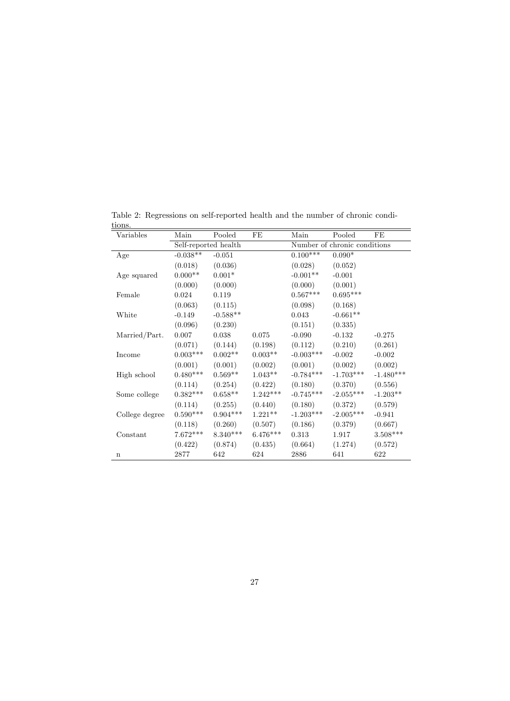| Variables      | Main                 | Pooled         | FE                           | Main        | Pooled      | FE          |
|----------------|----------------------|----------------|------------------------------|-------------|-------------|-------------|
|                | Self-reported health |                | Number of chronic conditions |             |             |             |
| Age            | $-0.038**$           | $-0.051$       |                              | $0.100***$  | $0.090*$    |             |
|                | (0.018)              | (0.036)        |                              | (0.028)     | (0.052)     |             |
| Age squared    | $0.000**$            | $0.001^{\ast}$ |                              | $-0.001**$  | $-0.001$    |             |
|                | (0.000)              | (0.000)        |                              | (0.000)     | (0.001)     |             |
| Female         | 0.024                | 0.119          |                              | $0.567***$  | $0.695***$  |             |
|                | (0.063)              | (0.115)        |                              | (0.098)     | (0.168)     |             |
| White          | $-0.149$             | $-0.588**$     |                              | 0.043       | $-0.661**$  |             |
|                | (0.096)              | (0.230)        |                              | (0.151)     | (0.335)     |             |
| Married/Part.  | 0.007                | 0.038          | 0.075                        | $-0.090$    | $-0.132$    | $-0.275$    |
|                | (0.071)              | (0.144)        | (0.198)                      | (0.112)     | (0.210)     | (0.261)     |
| Income         | $0.003***$           | $0.002**$      | $0.003**$                    | $-0.003***$ | $-0.002$    | $-0.002$    |
|                | (0.001)              | (0.001)        | (0.002)                      | (0.001)     | (0.002)     | (0.002)     |
| High school    | $0.480***$           | $0.569**$      | $1.043**$                    | $-0.784***$ | $-1.703***$ | $-1.480***$ |
|                | (0.114)              | (0.254)        | (0.422)                      | (0.180)     | (0.370)     | (0.556)     |
| Some college   | $0.382***$           | $0.658**$      | $1.242***$                   | $-0.745***$ | $-2.055***$ | $-1.203**$  |
|                | (0.114)              | (0.255)        | (0.440)                      | (0.180)     | (0.372)     | (0.579)     |
| College degree | $0.590***$           | $0.904***$     | $1.221**$                    | $-1.203***$ | $-2.005***$ | $-0.941$    |
|                | (0.118)              | (0.260)        | (0.507)                      | (0.186)     | (0.379)     | (0.667)     |
| Constant       | $7.672***$           | $8.340***$     | $6.476***$                   | 0.313       | 1.917       | $3.508***$  |
|                | (0.422)              | (0.874)        | (0.435)                      | (0.664)     | (1.274)     | (0.572)     |
| $\mathbf n$    | 2877                 | 642            | 624                          | 2886        | 641         | 622         |

Table 2: Regressions on self-reported health and the number of chronic conditions.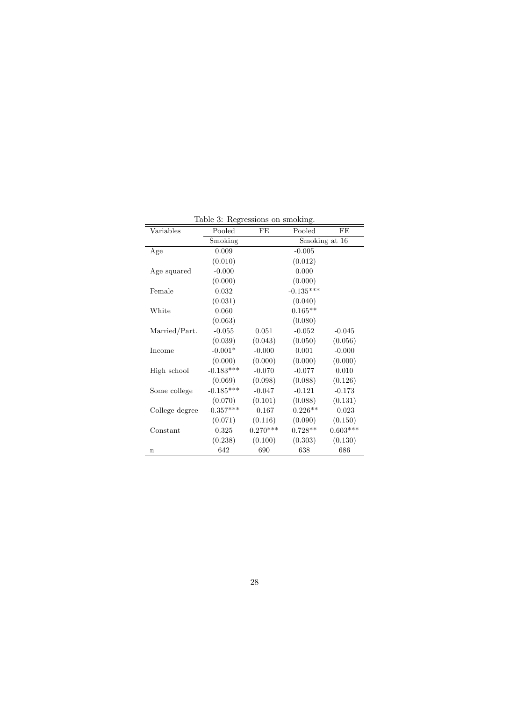| Variables      | Pooled      | FE            | Pooled      | FE         |  |
|----------------|-------------|---------------|-------------|------------|--|
|                | Smoking     | Smoking at 16 |             |            |  |
| Age            | 0.009       |               | $-0.005$    |            |  |
|                | (0.010)     |               | (0.012)     |            |  |
| Age squared    | $-0.000$    |               | 0.000       |            |  |
|                | (0.000)     |               | (0.000)     |            |  |
| Female         | 0.032       |               | $-0.135***$ |            |  |
|                | (0.031)     |               | (0.040)     |            |  |
| White          | 0.060       |               | $0.165**$   |            |  |
|                | (0.063)     |               | (0.080)     |            |  |
| Married/Part.  | $-0.055$    | 0.051         | $-0.052$    | $-0.045$   |  |
|                | (0.039)     | (0.043)       | (0.050)     | (0.056)    |  |
| Income         | $-0.001*$   | $-0.000$      | 0.001       | $-0.000$   |  |
|                | (0.000)     | (0.000)       | (0.000)     | (0.000)    |  |
| High school    | $-0.183***$ | $-0.070$      | $-0.077$    | 0.010      |  |
|                | (0.069)     | (0.098)       | (0.088)     | (0.126)    |  |
| Some college   | $-0.185***$ | $-0.047$      | $-0.121$    | $-0.173$   |  |
|                | (0.070)     | (0.101)       | (0.088)     | (0.131)    |  |
| College degree | $-0.357***$ | $-0.167$      | $-0.226**$  | $-0.023$   |  |
|                | (0.071)     | (0.116)       | (0.090)     | (0.150)    |  |
| Constant       | 0.325       | $0.270***$    | $0.728**$   | $0.603***$ |  |
|                | (0.238)     | (0.100)       | (0.303)     | (0.130)    |  |
| $\mathbf n$    | 642         | 690           | 638         | 686        |  |

Table 3: Regressions on smoking.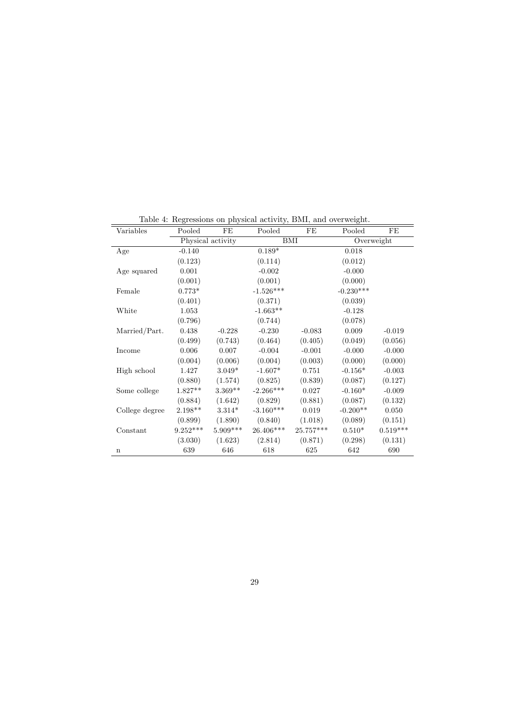| Variables      | Pooled     | FE                | Pooled      | FE        | Pooled      | FE         |
|----------------|------------|-------------------|-------------|-----------|-------------|------------|
|                |            | Physical activity | BMI         |           | Overweight  |            |
| Age            | $-0.140$   |                   | $0.189*$    |           | 0.018       |            |
|                | (0.123)    |                   | (0.114)     |           | (0.012)     |            |
| Age squared    | 0.001      |                   | $-0.002$    |           | $-0.000$    |            |
|                | (0.001)    |                   | (0.001)     |           | (0.000)     |            |
| Female         | $0.773*$   |                   | $-1.526***$ |           | $-0.230***$ |            |
|                | (0.401)    |                   | (0.371)     |           | (0.039)     |            |
| White          | 1.053      |                   | $-1.663**$  |           | $-0.128$    |            |
|                | (0.796)    |                   | (0.744)     |           | (0.078)     |            |
| Married/Part.  | 0.438      | $-0.228$          | $-0.230$    | $-0.083$  | 0.009       | $-0.019$   |
|                | (0.499)    | (0.743)           | (0.464)     | (0.405)   | (0.049)     | (0.056)    |
| Income         | 0.006      | 0.007             | $-0.004$    | $-0.001$  | $-0.000$    | $-0.000$   |
|                | (0.004)    | (0.006)           | (0.004)     | (0.003)   | (0.000)     | (0.000)    |
| High school    | 1.427      | $3.049*$          | $-1.607*$   | 0.751     | $-0.156*$   | $-0.003$   |
|                | (0.880)    | (1.574)           | (0.825)     | (0.839)   | (0.087)     | (0.127)    |
| Some college   | $1.827**$  | $3.369**$         | $-2.266***$ | 0.027     | $-0.160*$   | $-0.009$   |
|                | (0.884)    | (1.642)           | (0.829)     | (0.881)   | (0.087)     | (0.132)    |
| College degree | 2.198**    | $3.314*$          | $-3.160***$ | 0.019     | $-0.200**$  | 0.050      |
|                | (0.899)    | (1.890)           | (0.840)     | (1.018)   | (0.089)     | (0.151)    |
| Constant       | $9.252***$ | 5.909***          | 26.406***   | 25.757*** | $0.510*$    | $0.519***$ |
|                | (3.030)    | (1.623)           | (2.814)     | (0.871)   | (0.298)     | (0.131)    |
| $\mathbf n$    | 639        | 646               | 618         | 625       | 642         | 690        |

Table 4: Regressions on physical activity, BMI, and overweight.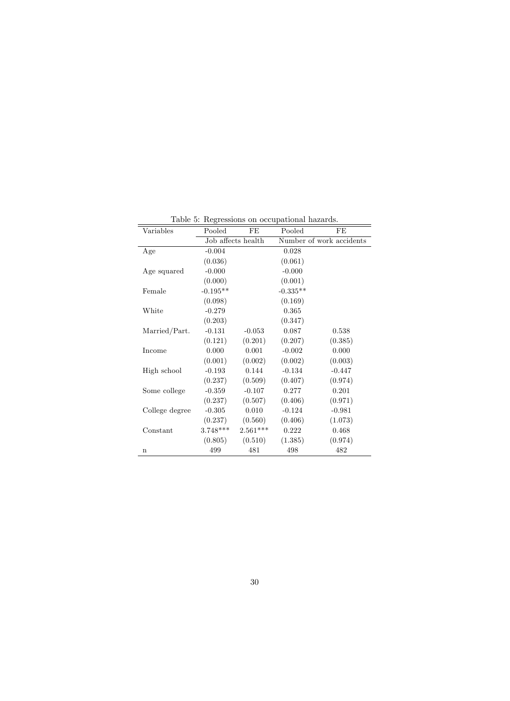|                |            |                    | Table 5: Regressions on occupational hazards. |                          |
|----------------|------------|--------------------|-----------------------------------------------|--------------------------|
| Variables      | Pooled     | FE                 | Pooled                                        | FE                       |
|                |            | Job affects health |                                               | Number of work accidents |
| Age            | $-0.004$   |                    | 0.028                                         |                          |
|                | (0.036)    |                    | (0.061)                                       |                          |
| Age squared    | $-0.000$   |                    | $-0.000$                                      |                          |
|                | (0.000)    |                    | (0.001)                                       |                          |
| Female         | $-0.195**$ |                    | $-0.335**$                                    |                          |
|                | (0.098)    |                    | (0.169)                                       |                          |
| White          | $-0.279$   |                    | 0.365                                         |                          |
|                | (0.203)    |                    | (0.347)                                       |                          |
| Married/Part.  | $-0.131$   | $-0.053$           | 0.087                                         | 0.538                    |
|                | (0.121)    | (0.201)            | (0.207)                                       | (0.385)                  |
| Income         | 0.000      | 0.001              | $-0.002$                                      | 0.000                    |
|                | (0.001)    | (0.002)            | (0.002)                                       | (0.003)                  |
| High school    | $-0.193$   | 0.144              | $-0.134$                                      | $-0.447$                 |
|                | (0.237)    | (0.509)            | (0.407)                                       | (0.974)                  |
| Some college   | $-0.359$   | $-0.107$           | 0.277                                         | 0.201                    |
|                | (0.237)    | (0.507)            | (0.406)                                       | (0.971)                  |
| College degree | $-0.305$   | 0.010              | $-0.124$                                      | $-0.981$                 |
|                | (0.237)    | (0.560)            | (0.406)                                       | (1.073)                  |
| Constant       | $3.748***$ | $2.561***$         | 0.222                                         | 0.468                    |
|                | (0.805)    | (0.510)            | (1.385)                                       | (0.974)                  |
| n              | 499        | 481                | 498                                           | 482                      |

Table 5: Regressions on occupational hazards.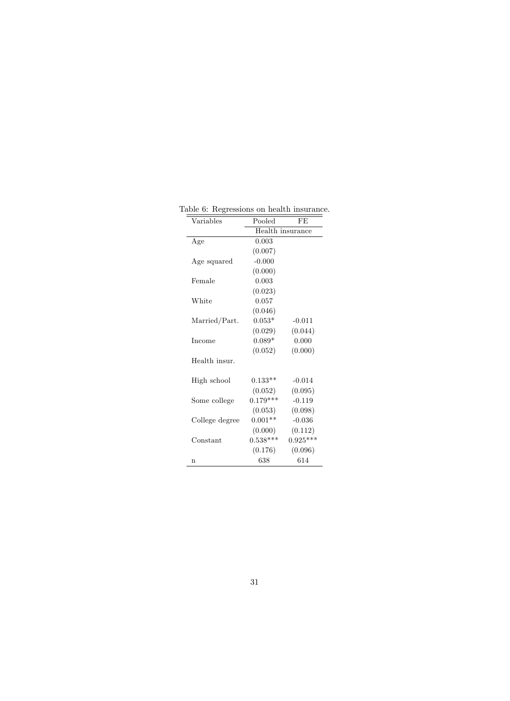| Variables      | Pooled     | FE               |
|----------------|------------|------------------|
|                |            | Health insurance |
| Age            | 0.003      |                  |
|                | (0.007)    |                  |
| Age squared    | $-0.000$   |                  |
|                | (0.000)    |                  |
| Female         | 0.003      |                  |
|                | (0.023)    |                  |
| White          | 0.057      |                  |
|                | (0.046)    |                  |
| Married/Part.  | $0.053*$   | $-0.011$         |
|                | (0.029)    | (0.044)          |
| Income         | $0.089*$   | 0.000            |
|                | (0.052)    | (0.000)          |
| Health insur.  |            |                  |
|                |            |                  |
| High school    | $0.133**$  | $-0.014$         |
|                | (0.052)    | (0.095)          |
| Some college   | $0.179***$ | $-0.119$         |
|                | (0.053)    | (0.098)          |
| College degree | $0.001**$  | $-0.036$         |
|                | (0.000)    | (0.112)          |
| Constant       | $0.538***$ | $0.925***$       |
|                | (0.176)    | (0.096)          |
| n              | 638        | 614              |

Table 6: Regressions on health insurance.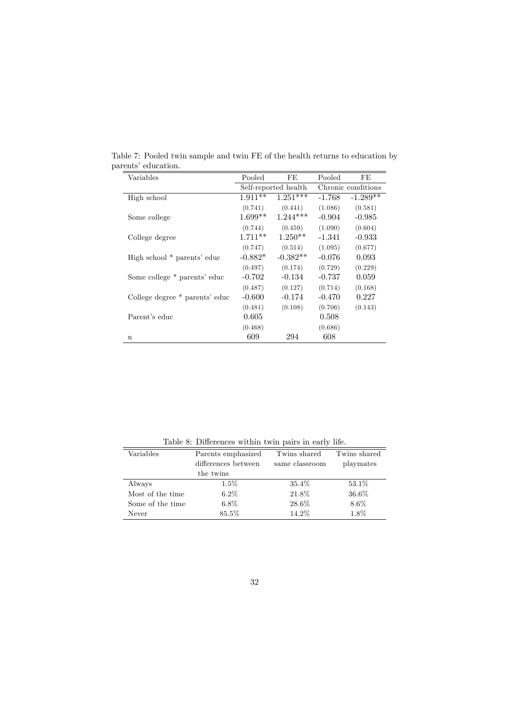| Variables                      | Pooled     | FE                   | Pooled   | FE                 |
|--------------------------------|------------|----------------------|----------|--------------------|
|                                |            | Self-reported health |          | Chronic conditions |
| High school                    | $1.911***$ | $1.251***$           | $-1.768$ | $-1.289**$         |
|                                | (0.741)    | (0.441)              | (1.086)  | (0.581)            |
| Some college                   | $1.699**$  | $1.244***$           | $-0.904$ | $-0.985$           |
|                                | (0.744)    | (0.459)              | (1.090)  | (0.604)            |
| College degree                 | $1.711**$  | $1.250**$            | $-1.341$ | $-0.933$           |
|                                | (0.747)    | (0.514)              | (1.095)  | (0.677)            |
| High school * parents' educ    | $-0.882*$  | $-0.382**$           | $-0.076$ | 0.093              |
|                                | (0.497)    | (0.174)              | (0.729)  | (0.229)            |
| Some college * parents' educ   | -0.702     | $-0.134$             | $-0.737$ | 0.059              |
|                                | (0.487)    | (0.127)              | (0.714)  | (0.168)            |
| College degree * parents' educ | $-0.600$   | $-0.174$             | $-0.470$ | 0.227              |
|                                | (0.481)    | (0.108)              | (0.706)  | (0.143)            |
| Parent's educ                  | 0.605      |                      | 0.508    |                    |
|                                | (0.468)    |                      | (0.686)  |                    |
| $\mathbf n$                    | 609        | 294                  | 608      |                    |

Table 7: Pooled twin sample and twin FE of the health returns to education by  $\,$  parents' education.

Table 8: Differences within twin pairs in early life.

| Table 0. Differences within twill pairs in early file. |                |              |  |  |
|--------------------------------------------------------|----------------|--------------|--|--|
| Parents emphasized                                     | Twins shared   | Twins shared |  |  |
| differences between                                    | same classroom | playmates    |  |  |
| the twins                                              |                |              |  |  |
| $1.5\%$                                                | 35.4\%         | 53.1\%       |  |  |
| $6.2\%$                                                | 21.8%          | 36.6%        |  |  |
| $6.8\%$                                                | 28.6%          | $8.6\%$      |  |  |
| 85.5%                                                  | 14.2%          | $1.8\%$      |  |  |
|                                                        |                |              |  |  |